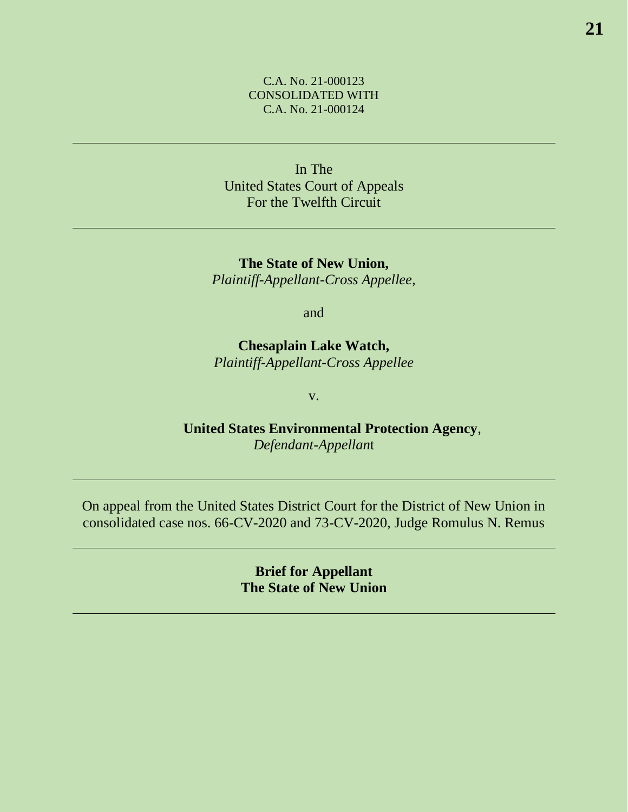# C.A. No. 21-000123 CONSOLIDATED WITH C.A. No. 21-000124

In The United States Court of Appeals For the Twelfth Circuit

**The State of New Union,** *Plaintiff-Appellant-Cross Appellee,*

and

**Chesaplain Lake Watch,** *Plaintiff-Appellant-Cross Appellee*

v.

**United States Environmental Protection Agency**, *Defendant-Appellan*t

On appeal from the United States District Court for the District of New Union in consolidated case nos. 66-CV-2020 and 73-CV-2020, Judge Romulus N. Remus

> **Brief for Appellant The State of New Union**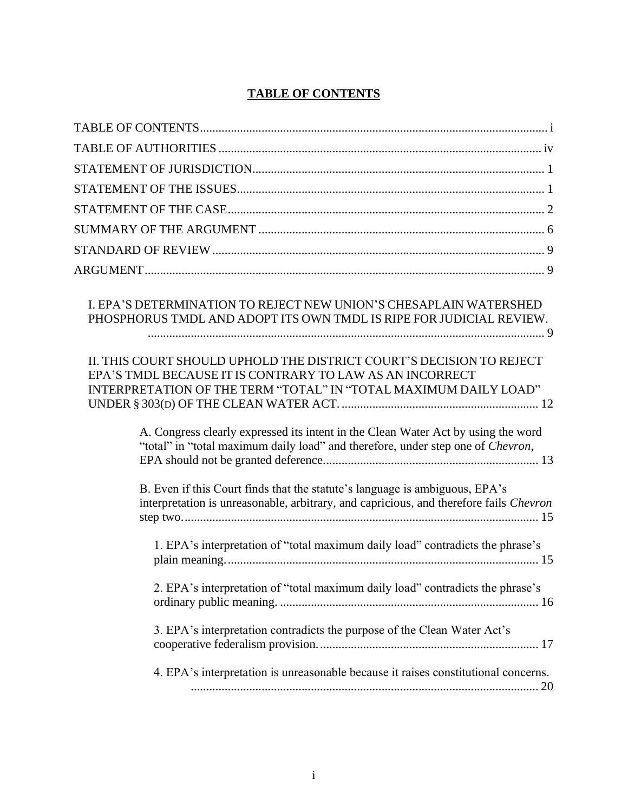# **TABLE OF CONTENTS**

| I. EPA'S DETERMINATION TO REJECT NEW UNION'S CHESAPLAIN WATERSHED<br>PHOSPHORUS TMDL AND ADOPT ITS OWN TMDL IS RIPE FOR JUDICIAL REVIEW.                                                             |
|------------------------------------------------------------------------------------------------------------------------------------------------------------------------------------------------------|
| II. THIS COURT SHOULD UPHOLD THE DISTRICT COURT'S DECISION TO REJECT<br>EPA'S TMDL BECAUSE IT IS CONTRARY TO LAW AS AN INCORRECT<br>INTERPRETATION OF THE TERM "TOTAL" IN "TOTAL MAXIMUM DAILY LOAD" |
| A. Congress clearly expressed its intent in the Clean Water Act by using the word<br>"total" in "total maximum daily load" and therefore, under step one of Chevron,                                 |
| B. Even if this Court finds that the statute's language is ambiguous, EPA's<br>interpretation is unreasonable, arbitrary, and capricious, and therefore fails Chevron                                |
| 1. EPA's interpretation of "total maximum daily load" contradicts the phrase's                                                                                                                       |
| 2. EPA's interpretation of "total maximum daily load" contradicts the phrase's                                                                                                                       |
| 3. EPA's interpretation contradicts the purpose of the Clean Water Act's                                                                                                                             |
| 4. EPA's interpretation is unreasonable because it raises constitutional concerns.                                                                                                                   |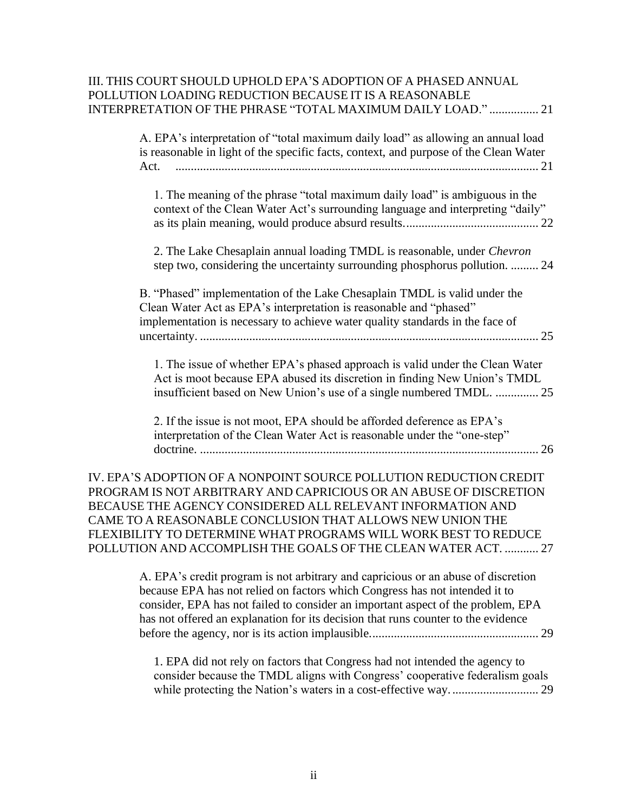# III. THIS COURT SHOULD UPHOLD EPA'S ADOPTION OF A PHASED ANNUAL POLLUTION LOADING REDUCTION BECAUSE IT IS A REASONABLE INTERPRETATION OF THE PHRASE "TOTAL MAXIMUM DAILY LOAD." ................ 21

A. EPA's interpretation of "total maximum daily load" as allowing an annual load is reasonable in light of the specific facts, context, and purpose of the Clean Water Act. ...................................................................................................................... 21 1. The meaning of the phrase "total maximum daily load" is ambiguous in the context of the Clean Water Act's surrounding language and interpreting "daily" as its plain meaning, would produce absurd results............................................ 22 2. The Lake Chesaplain annual loading TMDL is reasonable, under *Chevron* step two, considering the uncertainty surrounding phosphorus pollution. ......... 24 B. "Phased" implementation of the Lake Chesaplain TMDL is valid under the Clean Water Act as EPA's interpretation is reasonable and "phased" implementation is necessary to achieve water quality standards in the face of uncertainty. .............................................................................................................. 25 1. The issue of whether EPA's phased approach is valid under the Clean Water Act is moot because EPA abused its discretion in finding New Union's TMDL insufficient based on New Union's use of a single numbered TMDL. .............. 25 2. If the issue is not moot, EPA should be afforded deference as EPA's interpretation of the Clean Water Act is reasonable under the "one-step"

doctrine. .............................................................................................................. 26

IV. EPA'S ADOPTION OF A NONPOINT SOURCE POLLUTION REDUCTION CREDIT PROGRAM IS NOT ARBITRARY AND CAPRICIOUS OR AN ABUSE OF DISCRETION BECAUSE THE AGENCY CONSIDERED ALL RELEVANT INFORMATION AND CAME TO A REASONABLE CONCLUSION THAT ALLOWS NEW UNION THE FLEXIBILITY TO DETERMINE WHAT PROGRAMS WILL WORK BEST TO REDUCE POLLUTION AND ACCOMPLISH THE GOALS OF THE CLEAN WATER ACT. ........... 27

> A. EPA's credit program is not arbitrary and capricious or an abuse of discretion because EPA has not relied on factors which Congress has not intended it to consider, EPA has not failed to consider an important aspect of the problem, EPA has not offered an explanation for its decision that runs counter to the evidence before the agency, nor is its action implausible....................................................... 29

1. EPA did not rely on factors that Congress had not intended the agency to consider because the TMDL aligns with Congress' cooperative federalism goals while protecting the Nation's waters in a cost-effective way. ............................ 29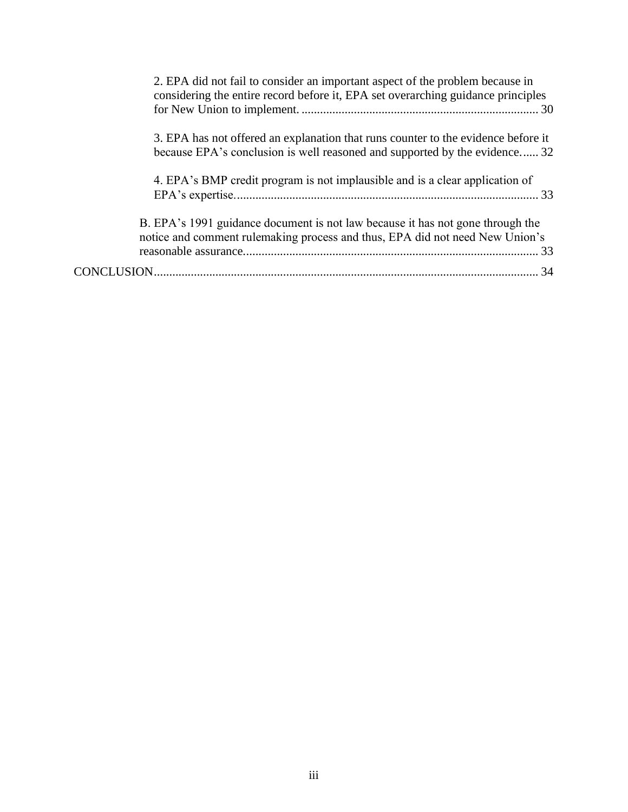| 2. EPA did not fail to consider an important aspect of the problem because in<br>considering the entire record before it, EPA set overarching guidance principles |  |
|-------------------------------------------------------------------------------------------------------------------------------------------------------------------|--|
| 3. EPA has not offered an explanation that runs counter to the evidence before it<br>because EPA's conclusion is well reasoned and supported by the evidence 32   |  |
| 4. EPA's BMP credit program is not implausible and is a clear application of                                                                                      |  |
| B. EPA's 1991 guidance document is not law because it has not gone through the<br>notice and comment rulemaking process and thus, EPA did not need New Union's    |  |
|                                                                                                                                                                   |  |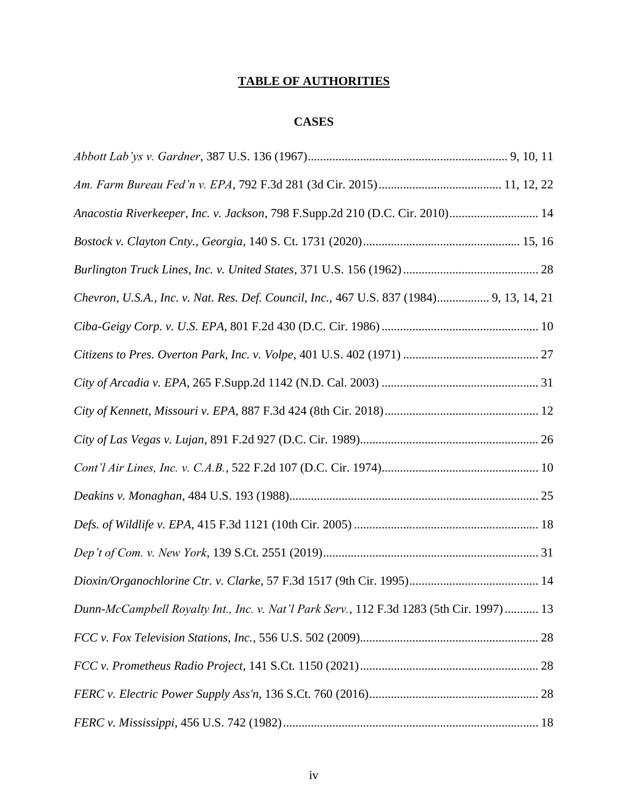# **TABLE OF AUTHORITIES**

# **CASES**

| Anacostia Riverkeeper, Inc. v. Jackson, 798 F.Supp.2d 210 (D.C. Cir. 2010) 14            |
|------------------------------------------------------------------------------------------|
|                                                                                          |
|                                                                                          |
| Chevron, U.S.A., Inc. v. Nat. Res. Def. Council, Inc., 467 U.S. 837 (1984) 9, 13, 14, 21 |
|                                                                                          |
|                                                                                          |
|                                                                                          |
|                                                                                          |
|                                                                                          |
|                                                                                          |
|                                                                                          |
|                                                                                          |
|                                                                                          |
|                                                                                          |
| Dunn-McCampbell Royalty Int., Inc. v. Nat'l Park Serv., 112 F.3d 1283 (5th Cir. 1997) 13 |
|                                                                                          |
|                                                                                          |
|                                                                                          |
|                                                                                          |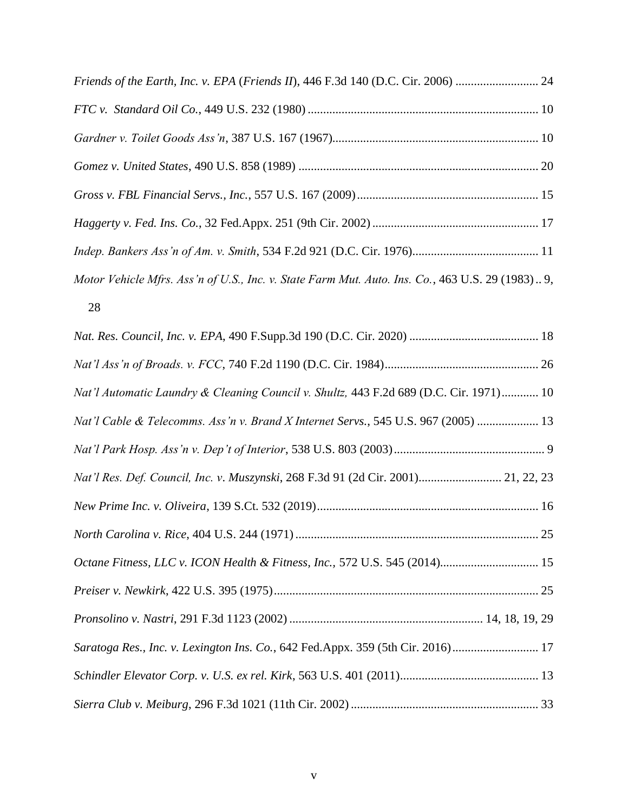| Friends of the Earth, Inc. v. EPA (Friends II), 446 F.3d 140 (D.C. Cir. 2006)  24                |
|--------------------------------------------------------------------------------------------------|
|                                                                                                  |
|                                                                                                  |
|                                                                                                  |
|                                                                                                  |
|                                                                                                  |
|                                                                                                  |
| Motor Vehicle Mfrs. Ass'n of U.S., Inc. v. State Farm Mut. Auto. Ins. Co., 463 U.S. 29 (1983) 9, |
| 28                                                                                               |

| Nat'l Automatic Laundry & Cleaning Council v. Shultz, 443 F.2d 689 (D.C. Cir. 1971) 10 |
|----------------------------------------------------------------------------------------|
| Nat'l Cable & Telecomms. Ass'n v. Brand X Internet Servs., 545 U.S. 967 (2005)  13     |
|                                                                                        |
| Nat'l Res. Def. Council, Inc. v. Muszynski, 268 F.3d 91 (2d Cir. 2001) 21, 22, 23      |
|                                                                                        |
|                                                                                        |
| Octane Fitness, LLC v. ICON Health & Fitness, Inc., 572 U.S. 545 (2014) 15             |
|                                                                                        |
|                                                                                        |
| Saratoga Res., Inc. v. Lexington Ins. Co., 642 Fed.Appx. 359 (5th Cir. 2016) 17        |
|                                                                                        |
|                                                                                        |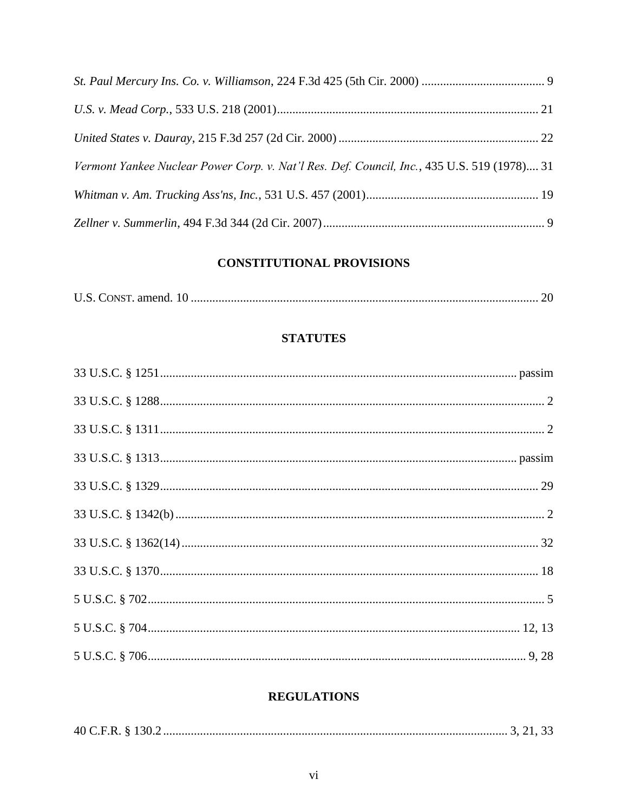| Vermont Yankee Nuclear Power Corp. v. Nat'l Res. Def. Council, Inc., 435 U.S. 519 (1978) 31 |  |
|---------------------------------------------------------------------------------------------|--|
|                                                                                             |  |
|                                                                                             |  |

# **CONSTITUTIONAL PROVISIONS**

|--|--|--|

# **STATUTES**

# **REGULATIONS**

|--|--|--|--|--|--|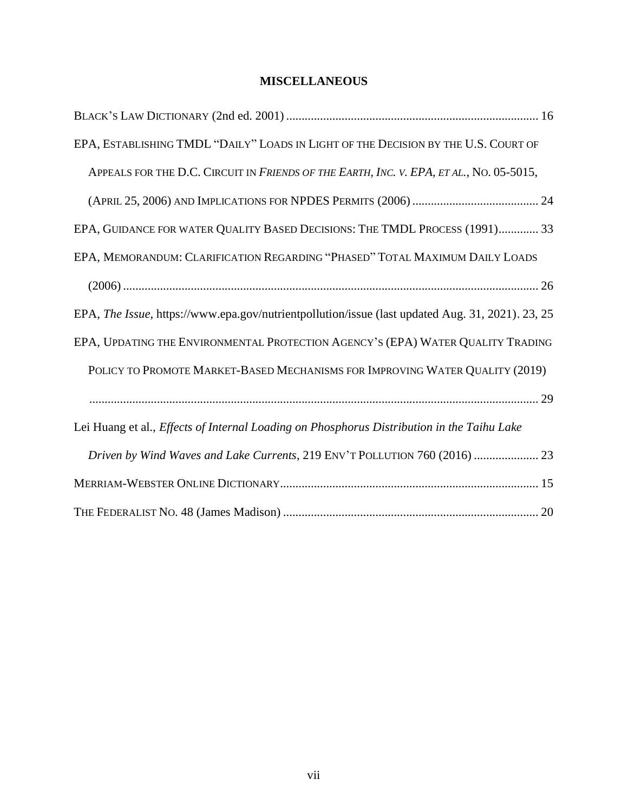# **MISCELLANEOUS**

| EPA, ESTABLISHING TMDL "DAILY" LOADS IN LIGHT OF THE DECISION BY THE U.S. COURT OF               |
|--------------------------------------------------------------------------------------------------|
| APPEALS FOR THE D.C. CIRCUIT IN FRIENDS OF THE EARTH, INC. V. EPA, ET AL., NO. 05-5015,          |
|                                                                                                  |
| EPA, GUIDANCE FOR WATER QUALITY BASED DECISIONS: THE TMDL PROCESS (1991) 33                      |
| EPA, MEMORANDUM: CLARIFICATION REGARDING "PHASED" TOTAL MAXIMUM DAILY LOADS                      |
|                                                                                                  |
| EPA, The Issue, https://www.epa.gov/nutrientpollution/issue (last updated Aug. 31, 2021). 23, 25 |
| EPA, UPDATING THE ENVIRONMENTAL PROTECTION AGENCY'S (EPA) WATER QUALITY TRADING                  |
| POLICY TO PROMOTE MARKET-BASED MECHANISMS FOR IMPROVING WATER QUALITY (2019)                     |
|                                                                                                  |
| Lei Huang et al., Effects of Internal Loading on Phosphorus Distribution in the Taihu Lake       |
| Driven by Wind Waves and Lake Currents, 219 ENV'T POLLUTION 760 (2016)  23                       |
|                                                                                                  |
|                                                                                                  |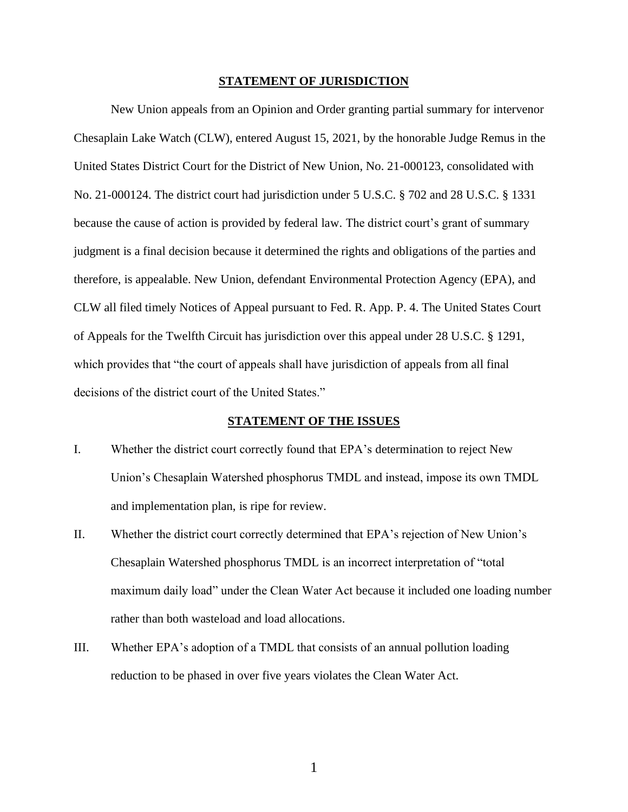#### **STATEMENT OF JURISDICTION**

New Union appeals from an Opinion and Order granting partial summary for intervenor Chesaplain Lake Watch (CLW), entered August 15, 2021, by the honorable Judge Remus in the United States District Court for the District of New Union, No. 21-000123, consolidated with No. 21-000124. The district court had jurisdiction under 5 U.S.C. § 702 and 28 U.S.C. § 1331 because the cause of action is provided by federal law. The district court's grant of summary judgment is a final decision because it determined the rights and obligations of the parties and therefore, is appealable. New Union, defendant Environmental Protection Agency (EPA), and CLW all filed timely Notices of Appeal pursuant to Fed. R. App. P. 4. The United States Court of Appeals for the Twelfth Circuit has jurisdiction over this appeal under 28 U.S.C. § 1291, which provides that "the court of appeals shall have jurisdiction of appeals from all final decisions of the district court of the United States."

### **STATEMENT OF THE ISSUES**

- I. Whether the district court correctly found that EPA's determination to reject New Union's Chesaplain Watershed phosphorus TMDL and instead, impose its own TMDL and implementation plan, is ripe for review.
- II. Whether the district court correctly determined that EPA's rejection of New Union's Chesaplain Watershed phosphorus TMDL is an incorrect interpretation of "total maximum daily load" under the Clean Water Act because it included one loading number rather than both wasteload and load allocations.
- III. Whether EPA's adoption of a TMDL that consists of an annual pollution loading reduction to be phased in over five years violates the Clean Water Act.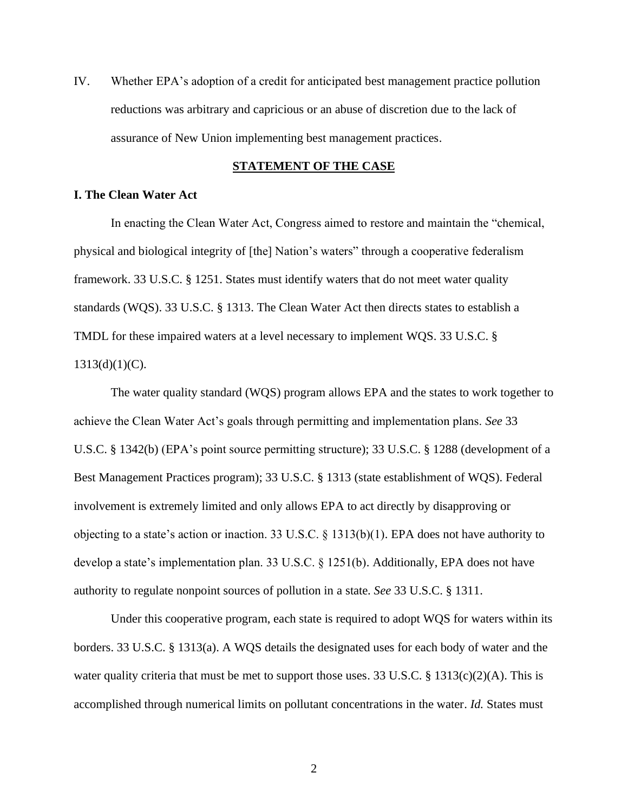IV. Whether EPA's adoption of a credit for anticipated best management practice pollution reductions was arbitrary and capricious or an abuse of discretion due to the lack of assurance of New Union implementing best management practices.

#### **STATEMENT OF THE CASE**

### **I. The Clean Water Act**

In enacting the Clean Water Act, Congress aimed to restore and maintain the "chemical, physical and biological integrity of [the] Nation's waters" through a cooperative federalism framework. 33 U.S.C. § 1251. States must identify waters that do not meet water quality standards (WQS). 33 U.S.C. § 1313. The Clean Water Act then directs states to establish a TMDL for these impaired waters at a level necessary to implement WQS. 33 U.S.C. §  $1313(d)(1)(C)$ .

The water quality standard (WQS) program allows EPA and the states to work together to achieve the Clean Water Act's goals through permitting and implementation plans. *See* 33 U.S.C. § 1342(b) (EPA's point source permitting structure); 33 U.S.C. § 1288 (development of a Best Management Practices program); 33 U.S.C. § 1313 (state establishment of WQS). Federal involvement is extremely limited and only allows EPA to act directly by disapproving or objecting to a state's action or inaction. 33 U.S.C. § 1313(b)(1). EPA does not have authority to develop a state's implementation plan. 33 U.S.C. § 1251(b). Additionally, EPA does not have authority to regulate nonpoint sources of pollution in a state. *See* 33 U.S.C. § 1311.

Under this cooperative program, each state is required to adopt WQS for waters within its borders. 33 U.S.C. § 1313(a). A WQS details the designated uses for each body of water and the water quality criteria that must be met to support those uses. 33 U.S.C. § 1313(c)(2)(A). This is accomplished through numerical limits on pollutant concentrations in the water. *Id.* States must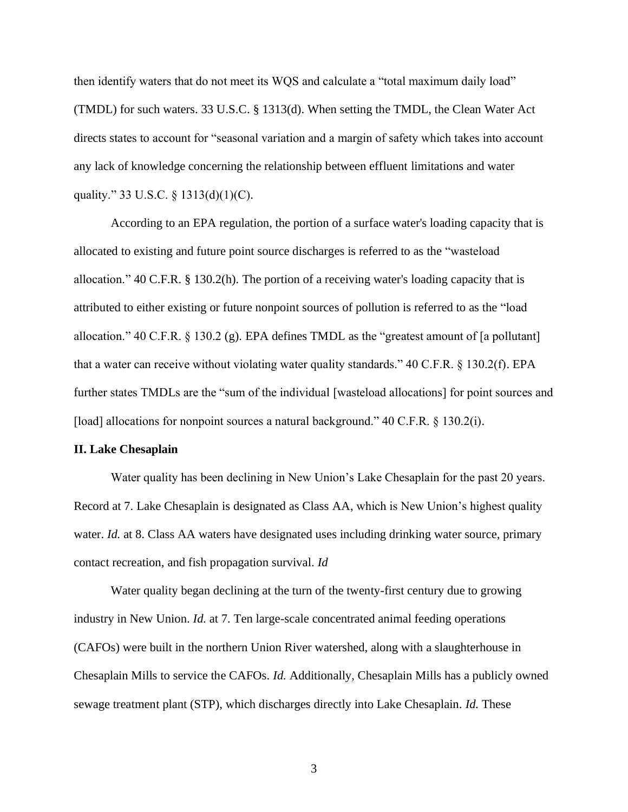then identify waters that do not meet its WQS and calculate a "total maximum daily load" (TMDL) for such waters. 33 U.S.C. § 1313(d). When setting the TMDL, the Clean Water Act directs states to account for "seasonal variation and a margin of safety which takes into account any lack of knowledge concerning the relationship between effluent limitations and water quality." 33 U.S.C. § 1313(d)(1)(C).

According to an EPA regulation, the portion of a surface water's loading capacity that is allocated to existing and future point source discharges is referred to as the "wasteload allocation." 40 C.F.R. § 130.2(h). The portion of a receiving water's loading capacity that is attributed to either existing or future nonpoint sources of pollution is referred to as the "load allocation." 40 C.F.R. § 130.2 (g). EPA defines TMDL as the "greatest amount of [a pollutant] that a water can receive without violating water quality standards." 40 C.F.R. § 130.2(f). EPA further states TMDLs are the "sum of the individual [wasteload allocations] for point sources and [load] allocations for nonpoint sources a natural background." 40 C.F.R. § 130.2(i).

#### **II. Lake Chesaplain**

Water quality has been declining in New Union's Lake Chesaplain for the past 20 years. Record at 7. Lake Chesaplain is designated as Class AA, which is New Union's highest quality water. *Id.* at 8. Class AA waters have designated uses including drinking water source, primary contact recreation, and fish propagation survival. *Id*

Water quality began declining at the turn of the twenty-first century due to growing industry in New Union. *Id.* at 7. Ten large-scale concentrated animal feeding operations (CAFOs) were built in the northern Union River watershed, along with a slaughterhouse in Chesaplain Mills to service the CAFOs. *Id.* Additionally, Chesaplain Mills has a publicly owned sewage treatment plant (STP), which discharges directly into Lake Chesaplain. *Id.* These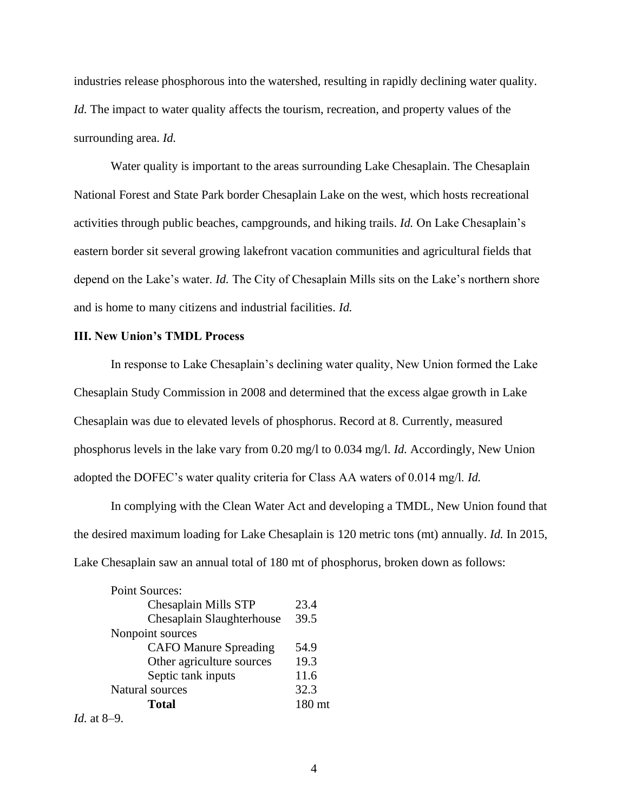industries release phosphorous into the watershed, resulting in rapidly declining water quality. *Id.* The impact to water quality affects the tourism, recreation, and property values of the surrounding area. *Id.* 

Water quality is important to the areas surrounding Lake Chesaplain. The Chesaplain National Forest and State Park border Chesaplain Lake on the west, which hosts recreational activities through public beaches, campgrounds, and hiking trails. *Id.* On Lake Chesaplain's eastern border sit several growing lakefront vacation communities and agricultural fields that depend on the Lake's water. *Id.* The City of Chesaplain Mills sits on the Lake's northern shore and is home to many citizens and industrial facilities. *Id.* 

### **III. New Union's TMDL Process**

In response to Lake Chesaplain's declining water quality, New Union formed the Lake Chesaplain Study Commission in 2008 and determined that the excess algae growth in Lake Chesaplain was due to elevated levels of phosphorus. Record at 8. Currently, measured phosphorus levels in the lake vary from 0.20 mg/l to 0.034 mg/l. *Id.* Accordingly, New Union adopted the DOFEC's water quality criteria for Class AA waters of 0.014 mg/l. *Id.*

In complying with the Clean Water Act and developing a TMDL, New Union found that the desired maximum loading for Lake Chesaplain is 120 metric tons (mt) annually. *Id.* In 2015, Lake Chesaplain saw an annual total of 180 mt of phosphorus, broken down as follows:

| <b>Point Sources:</b>        |        |
|------------------------------|--------|
| Chesaplain Mills STP         | 23.4   |
| Chesaplain Slaughterhouse    | 39.5   |
| Nonpoint sources             |        |
| <b>CAFO Manure Spreading</b> | 54.9   |
| Other agriculture sources    | 19.3   |
| Septic tank inputs           | 11.6   |
| Natural sources              | 32.3   |
| Total                        | 180 mt |
| <i>Id.</i> at 8–9.           |        |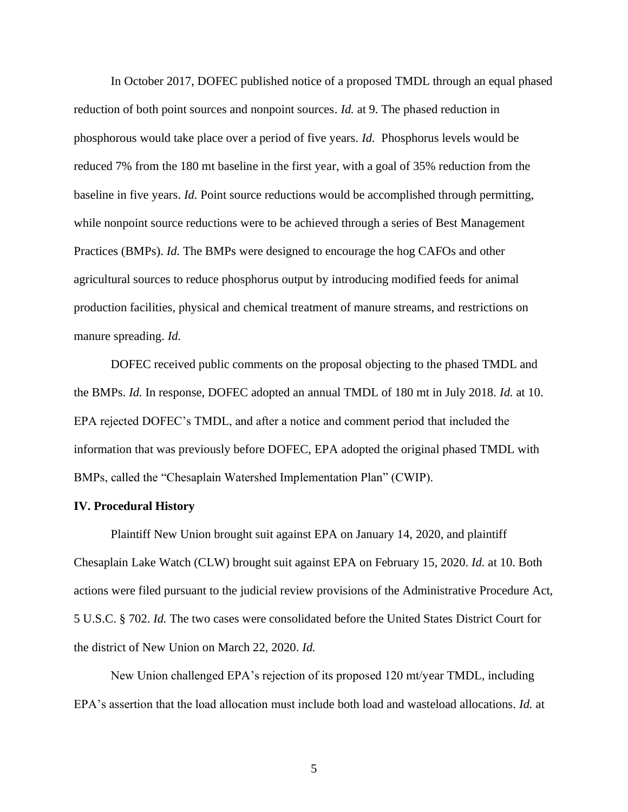In October 2017, DOFEC published notice of a proposed TMDL through an equal phased reduction of both point sources and nonpoint sources. *Id.* at 9. The phased reduction in phosphorous would take place over a period of five years. *Id.* Phosphorus levels would be reduced 7% from the 180 mt baseline in the first year, with a goal of 35% reduction from the baseline in five years. *Id.* Point source reductions would be accomplished through permitting, while nonpoint source reductions were to be achieved through a series of Best Management Practices (BMPs). *Id.* The BMPs were designed to encourage the hog CAFOs and other agricultural sources to reduce phosphorus output by introducing modified feeds for animal production facilities, physical and chemical treatment of manure streams, and restrictions on manure spreading. *Id.* 

DOFEC received public comments on the proposal objecting to the phased TMDL and the BMPs. *Id.* In response, DOFEC adopted an annual TMDL of 180 mt in July 2018. *Id.* at 10. EPA rejected DOFEC's TMDL, and after a notice and comment period that included the information that was previously before DOFEC, EPA adopted the original phased TMDL with BMPs, called the "Chesaplain Watershed Implementation Plan" (CWIP).

#### **IV. Procedural History**

Plaintiff New Union brought suit against EPA on January 14, 2020, and plaintiff Chesaplain Lake Watch (CLW) brought suit against EPA on February 15, 2020. *Id.* at 10. Both actions were filed pursuant to the judicial review provisions of the Administrative Procedure Act, 5 U.S.C. § 702. *Id.* The two cases were consolidated before the United States District Court for the district of New Union on March 22, 2020. *Id.*

New Union challenged EPA's rejection of its proposed 120 mt/year TMDL, including EPA's assertion that the load allocation must include both load and wasteload allocations. *Id.* at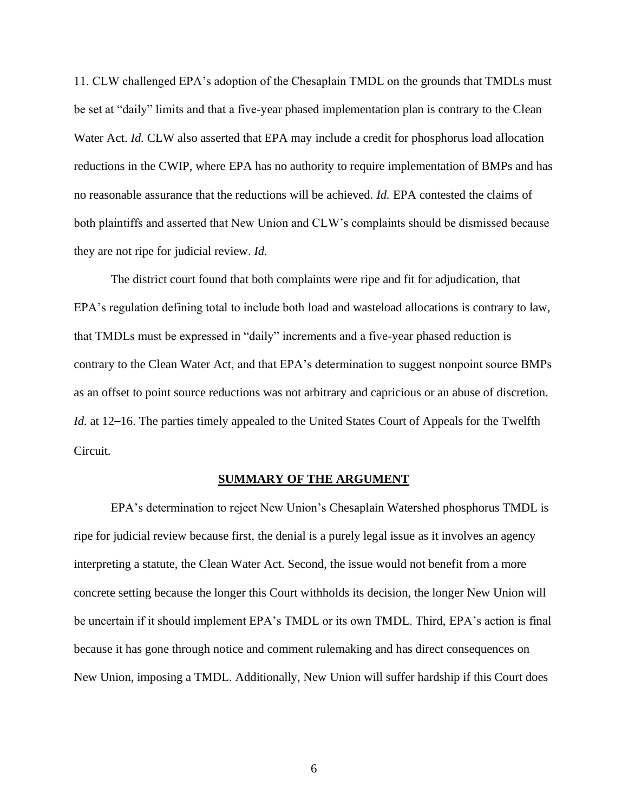11. CLW challenged EPA's adoption of the Chesaplain TMDL on the grounds that TMDLs must be set at "daily" limits and that a five-year phased implementation plan is contrary to the Clean Water Act. *Id.* CLW also asserted that EPA may include a credit for phosphorus load allocation reductions in the CWIP, where EPA has no authority to require implementation of BMPs and has no reasonable assurance that the reductions will be achieved. *Id.* EPA contested the claims of both plaintiffs and asserted that New Union and CLW's complaints should be dismissed because they are not ripe for judicial review. *Id.*

The district court found that both complaints were ripe and fit for adjudication, that EPA's regulation defining total to include both load and wasteload allocations is contrary to law, that TMDLs must be expressed in "daily" increments and a five-year phased reduction is contrary to the Clean Water Act, and that EPA's determination to suggest nonpoint source BMPs as an offset to point source reductions was not arbitrary and capricious or an abuse of discretion. *Id.* at 12–16. The parties timely appealed to the United States Court of Appeals for the Twelfth Circuit.

#### **SUMMARY OF THE ARGUMENT**

EPA's determination to reject New Union's Chesaplain Watershed phosphorus TMDL is ripe for judicial review because first, the denial is a purely legal issue as it involves an agency interpreting a statute, the Clean Water Act. Second, the issue would not benefit from a more concrete setting because the longer this Court withholds its decision, the longer New Union will be uncertain if it should implement EPA's TMDL or its own TMDL. Third, EPA's action is final because it has gone through notice and comment rulemaking and has direct consequences on New Union, imposing a TMDL. Additionally, New Union will suffer hardship if this Court does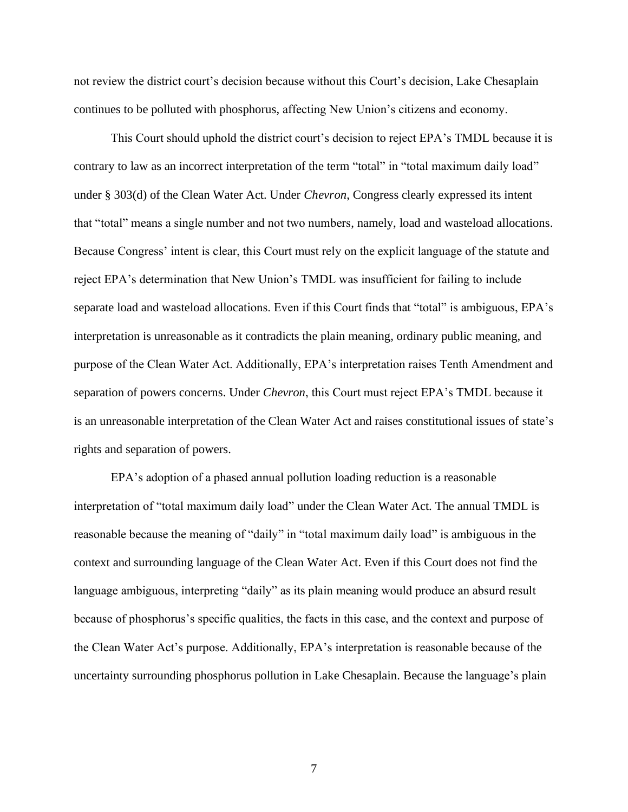not review the district court's decision because without this Court's decision, Lake Chesaplain continues to be polluted with phosphorus, affecting New Union's citizens and economy.

This Court should uphold the district court's decision to reject EPA's TMDL because it is contrary to law as an incorrect interpretation of the term "total" in "total maximum daily load" under § 303(d) of the Clean Water Act. Under *Chevron*, Congress clearly expressed its intent that "total" means a single number and not two numbers, namely, load and wasteload allocations. Because Congress' intent is clear, this Court must rely on the explicit language of the statute and reject EPA's determination that New Union's TMDL was insufficient for failing to include separate load and wasteload allocations. Even if this Court finds that "total" is ambiguous, EPA's interpretation is unreasonable as it contradicts the plain meaning, ordinary public meaning, and purpose of the Clean Water Act. Additionally, EPA's interpretation raises Tenth Amendment and separation of powers concerns. Under *Chevron*, this Court must reject EPA's TMDL because it is an unreasonable interpretation of the Clean Water Act and raises constitutional issues of state's rights and separation of powers.

EPA's adoption of a phased annual pollution loading reduction is a reasonable interpretation of "total maximum daily load" under the Clean Water Act. The annual TMDL is reasonable because the meaning of "daily" in "total maximum daily load" is ambiguous in the context and surrounding language of the Clean Water Act. Even if this Court does not find the language ambiguous, interpreting "daily" as its plain meaning would produce an absurd result because of phosphorus's specific qualities, the facts in this case, and the context and purpose of the Clean Water Act's purpose. Additionally, EPA's interpretation is reasonable because of the uncertainty surrounding phosphorus pollution in Lake Chesaplain. Because the language's plain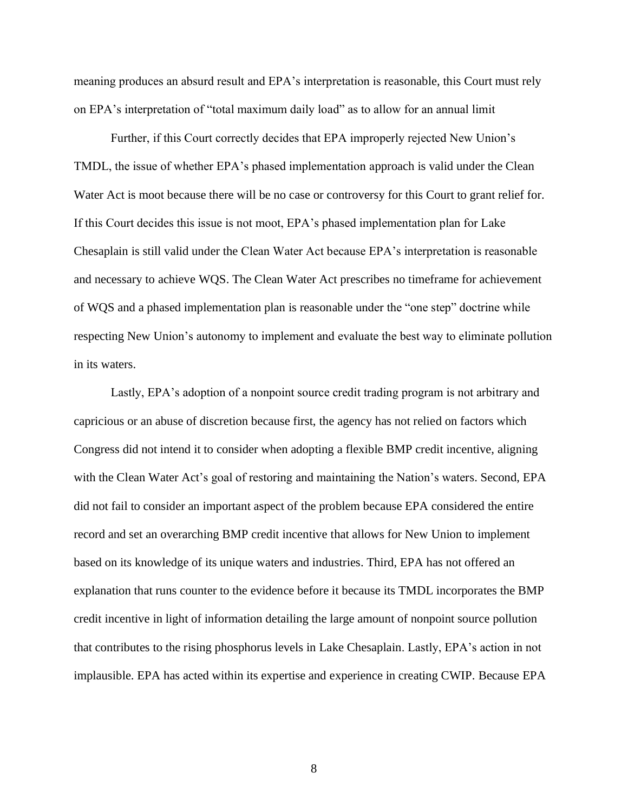meaning produces an absurd result and EPA's interpretation is reasonable, this Court must rely on EPA's interpretation of "total maximum daily load" as to allow for an annual limit

Further, if this Court correctly decides that EPA improperly rejected New Union's TMDL, the issue of whether EPA's phased implementation approach is valid under the Clean Water Act is moot because there will be no case or controversy for this Court to grant relief for. If this Court decides this issue is not moot, EPA's phased implementation plan for Lake Chesaplain is still valid under the Clean Water Act because EPA's interpretation is reasonable and necessary to achieve WQS. The Clean Water Act prescribes no timeframe for achievement of WQS and a phased implementation plan is reasonable under the "one step" doctrine while respecting New Union's autonomy to implement and evaluate the best way to eliminate pollution in its waters.

Lastly, EPA's adoption of a nonpoint source credit trading program is not arbitrary and capricious or an abuse of discretion because first, the agency has not relied on factors which Congress did not intend it to consider when adopting a flexible BMP credit incentive, aligning with the Clean Water Act's goal of restoring and maintaining the Nation's waters. Second, EPA did not fail to consider an important aspect of the problem because EPA considered the entire record and set an overarching BMP credit incentive that allows for New Union to implement based on its knowledge of its unique waters and industries. Third, EPA has not offered an explanation that runs counter to the evidence before it because its TMDL incorporates the BMP credit incentive in light of information detailing the large amount of nonpoint source pollution that contributes to the rising phosphorus levels in Lake Chesaplain. Lastly, EPA's action in not implausible. EPA has acted within its expertise and experience in creating CWIP. Because EPA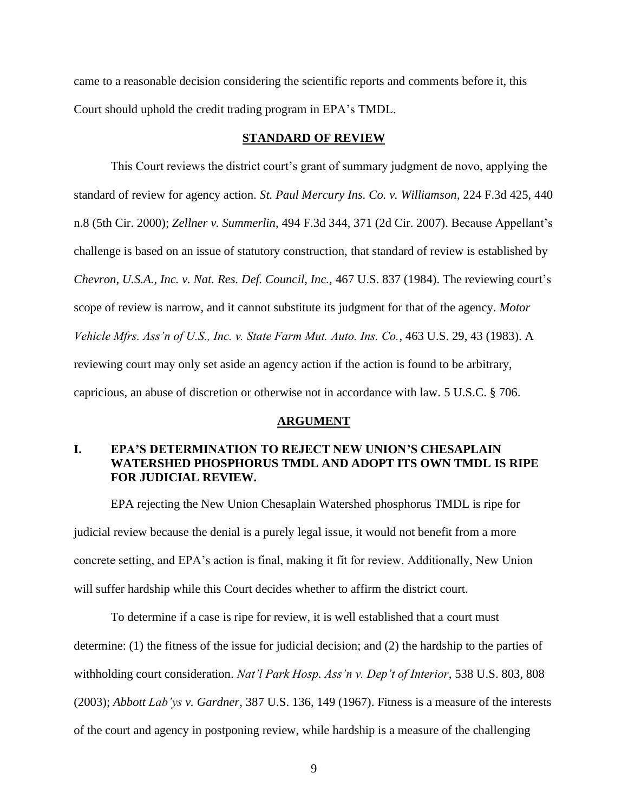came to a reasonable decision considering the scientific reports and comments before it, this Court should uphold the credit trading program in EPA's TMDL.

### **STANDARD OF REVIEW**

This Court reviews the district court's grant of summary judgment de novo, applying the standard of review for agency action. *St. Paul Mercury Ins. Co. v. Williamson*, 224 F.3d 425, 440 n.8 (5th Cir. 2000); *Zellner v. Summerlin*, 494 F.3d 344, 371 (2d Cir. 2007). Because Appellant's challenge is based on an issue of statutory construction, that standard of review is established by *Chevron, U.S.A., Inc. v. Nat. Res. Def. Council*, *Inc.,* 467 U.S. 837 (1984). The reviewing court's scope of review is narrow, and it cannot substitute its judgment for that of the agency. *Motor Vehicle Mfrs. Ass'n of U.S., Inc. v. State Farm Mut. Auto. Ins. Co.*, 463 U.S. 29, 43 (1983). A reviewing court may only set aside an agency action if the action is found to be arbitrary, capricious, an abuse of discretion or otherwise not in accordance with law. 5 U.S.C. § 706.

#### **ARGUMENT**

### **I. EPA'S DETERMINATION TO REJECT NEW UNION'S CHESAPLAIN WATERSHED PHOSPHORUS TMDL AND ADOPT ITS OWN TMDL IS RIPE FOR JUDICIAL REVIEW.**

EPA rejecting the New Union Chesaplain Watershed phosphorus TMDL is ripe for judicial review because the denial is a purely legal issue, it would not benefit from a more concrete setting, and EPA's action is final, making it fit for review. Additionally, New Union will suffer hardship while this Court decides whether to affirm the district court.

To determine if a case is ripe for review, it is well established that a court must determine: (1) the fitness of the issue for judicial decision; and (2) the hardship to the parties of withholding court consideration. *Nat'l Park Hosp. Ass'n v. Dep't of Interior*, 538 U.S. 803, 808 (2003); *Abbott Lab'ys v. Gardner*, 387 U.S. 136, 149 (1967). Fitness is a measure of the interests of the court and agency in postponing review, while hardship is a measure of the challenging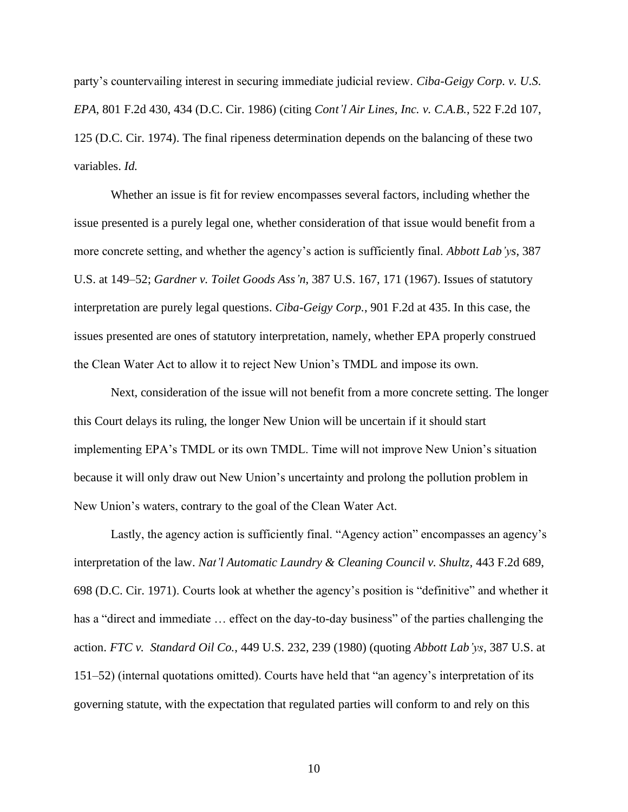party's countervailing interest in securing immediate judicial review. *Ciba-Geigy Corp. v. U.S. EPA*, 801 F.2d 430, 434 (D.C. Cir. 1986) (citing *Cont'l Air Lines, Inc. v. C.A.B.*, 522 F.2d 107, 125 (D.C. Cir. 1974). The final ripeness determination depends on the balancing of these two variables. *Id.*

Whether an issue is fit for review encompasses several factors, including whether the issue presented is a purely legal one, whether consideration of that issue would benefit from a more concrete setting, and whether the agency's action is sufficiently final. *Abbott Lab'ys*, 387 U.S. at 149–52; *Gardner v. Toilet Goods Ass'n*, 387 U.S. 167, 171 (1967). Issues of statutory interpretation are purely legal questions. *Ciba-Geigy Corp.*, 901 F.2d at 435. In this case, the issues presented are ones of statutory interpretation, namely, whether EPA properly construed the Clean Water Act to allow it to reject New Union's TMDL and impose its own.

Next, consideration of the issue will not benefit from a more concrete setting. The longer this Court delays its ruling, the longer New Union will be uncertain if it should start implementing EPA's TMDL or its own TMDL. Time will not improve New Union's situation because it will only draw out New Union's uncertainty and prolong the pollution problem in New Union's waters, contrary to the goal of the Clean Water Act.

Lastly, the agency action is sufficiently final. "Agency action" encompasses an agency's interpretation of the law. *Nat'l Automatic Laundry & Cleaning Council v. Shultz,* 443 F.2d 689, 698 (D.C. Cir. 1971). Courts look at whether the agency's position is "definitive" and whether it has a "direct and immediate ... effect on the day-to-day business" of the parties challenging the action. *FTC v. Standard Oil Co.*, 449 U.S. 232, 239 (1980) (quoting *Abbott Lab'ys*, 387 U.S. at 151–52) (internal quotations omitted). Courts have held that "an agency's interpretation of its governing statute, with the expectation that regulated parties will conform to and rely on this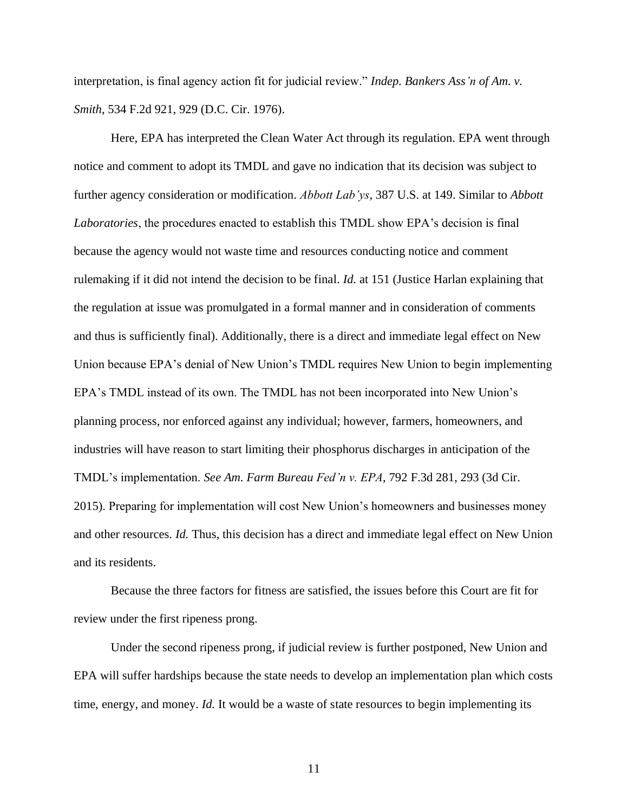interpretation, is final agency action fit for judicial review." *Indep. Bankers Ass'n of Am. v. Smith*, 534 F.2d 921, 929 (D.C. Cir. 1976).

Here, EPA has interpreted the Clean Water Act through its regulation. EPA went through notice and comment to adopt its TMDL and gave no indication that its decision was subject to further agency consideration or modification. *Abbott Lab'ys*, 387 U.S. at 149. Similar to *Abbott Laboratories*, the procedures enacted to establish this TMDL show EPA's decision is final because the agency would not waste time and resources conducting notice and comment rulemaking if it did not intend the decision to be final. *Id.* at 151 (Justice Harlan explaining that the regulation at issue was promulgated in a formal manner and in consideration of comments and thus is sufficiently final). Additionally, there is a direct and immediate legal effect on New Union because EPA's denial of New Union's TMDL requires New Union to begin implementing EPA's TMDL instead of its own. The TMDL has not been incorporated into New Union's planning process, nor enforced against any individual; however, farmers, homeowners, and industries will have reason to start limiting their phosphorus discharges in anticipation of the TMDL's implementation. *See Am. Farm Bureau Fed'n v. EPA*, 792 F.3d 281, 293 (3d Cir. 2015). Preparing for implementation will cost New Union's homeowners and businesses money and other resources. *Id.* Thus, this decision has a direct and immediate legal effect on New Union and its residents.

Because the three factors for fitness are satisfied, the issues before this Court are fit for review under the first ripeness prong.

Under the second ripeness prong, if judicial review is further postponed, New Union and EPA will suffer hardships because the state needs to develop an implementation plan which costs time, energy, and money. *Id.* It would be a waste of state resources to begin implementing its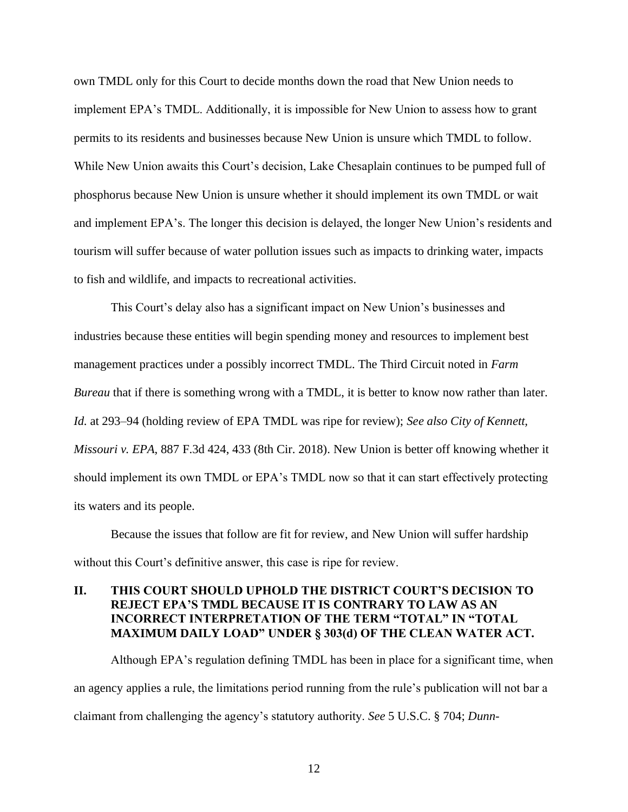own TMDL only for this Court to decide months down the road that New Union needs to implement EPA's TMDL. Additionally, it is impossible for New Union to assess how to grant permits to its residents and businesses because New Union is unsure which TMDL to follow. While New Union awaits this Court's decision, Lake Chesaplain continues to be pumped full of phosphorus because New Union is unsure whether it should implement its own TMDL or wait and implement EPA's. The longer this decision is delayed, the longer New Union's residents and tourism will suffer because of water pollution issues such as impacts to drinking water, impacts to fish and wildlife, and impacts to recreational activities.

This Court's delay also has a significant impact on New Union's businesses and industries because these entities will begin spending money and resources to implement best management practices under a possibly incorrect TMDL. The Third Circuit noted in *Farm Bureau* that if there is something wrong with a TMDL, it is better to know now rather than later. *Id.* at 293–94 (holding review of EPA TMDL was ripe for review); *See also City of Kennett, Missouri v. EPA*, 887 F.3d 424, 433 (8th Cir. 2018). New Union is better off knowing whether it should implement its own TMDL or EPA's TMDL now so that it can start effectively protecting its waters and its people.

Because the issues that follow are fit for review, and New Union will suffer hardship without this Court's definitive answer, this case is ripe for review.

# **II. THIS COURT SHOULD UPHOLD THE DISTRICT COURT'S DECISION TO REJECT EPA'S TMDL BECAUSE IT IS CONTRARY TO LAW AS AN INCORRECT INTERPRETATION OF THE TERM "TOTAL" IN "TOTAL MAXIMUM DAILY LOAD" UNDER § 303(d) OF THE CLEAN WATER ACT.**

Although EPA's regulation defining TMDL has been in place for a significant time, when an agency applies a rule, the limitations period running from the rule's publication will not bar a claimant from challenging the agency's statutory authority. *See* 5 U.S.C. § 704; *Dunn-*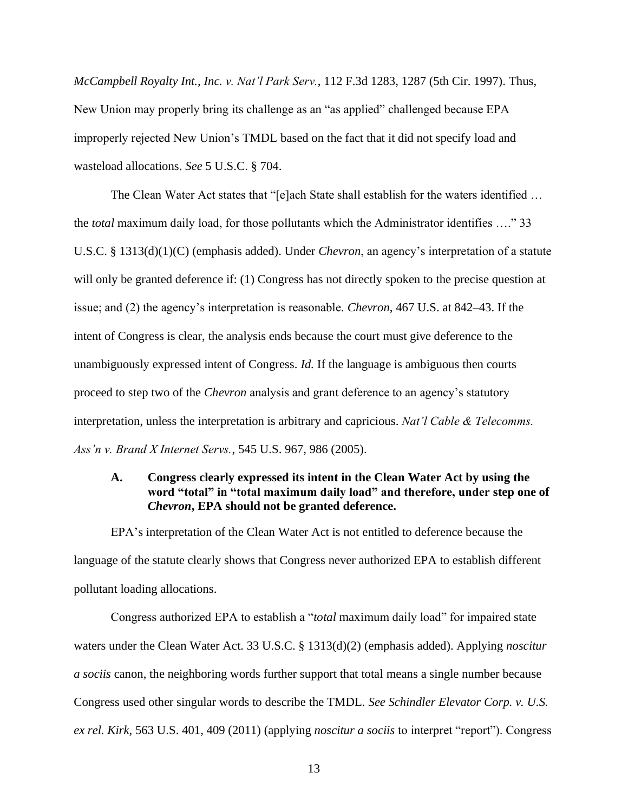*McCampbell Royalty Int., Inc. v. Nat'l Park Serv.*, 112 F.3d 1283, 1287 (5th Cir. 1997). Thus, New Union may properly bring its challenge as an "as applied" challenged because EPA improperly rejected New Union's TMDL based on the fact that it did not specify load and wasteload allocations. *See* 5 U.S.C. § 704.

The Clean Water Act states that "[e]ach State shall establish for the waters identified … the *total* maximum daily load, for those pollutants which the Administrator identifies …." 33 U.S.C. § 1313(d)(1)(C) (emphasis added). Under *Chevron*, an agency's interpretation of a statute will only be granted deference if: (1) Congress has not directly spoken to the precise question at issue; and (2) the agency's interpretation is reasonable. *Chevron*, 467 U.S. at 842–43. If the intent of Congress is clear, the analysis ends because the court must give deference to the unambiguously expressed intent of Congress. *Id.* If the language is ambiguous then courts proceed to step two of the *Chevron* analysis and grant deference to an agency's statutory interpretation, unless the interpretation is arbitrary and capricious. *Nat'l Cable & Telecomms. Ass'n v. Brand X Internet Servs.*, 545 U.S. 967, 986 (2005).

# **A. Congress clearly expressed its intent in the Clean Water Act by using the word "total" in "total maximum daily load" and therefore, under step one of**  *Chevron***, EPA should not be granted deference.**

EPA's interpretation of the Clean Water Act is not entitled to deference because the language of the statute clearly shows that Congress never authorized EPA to establish different pollutant loading allocations.

Congress authorized EPA to establish a "*total* maximum daily load" for impaired state waters under the Clean Water Act. 33 U.S.C. § 1313(d)(2) (emphasis added). Applying *noscitur a sociis* canon, the neighboring words further support that total means a single number because Congress used other singular words to describe the TMDL. *See Schindler Elevator Corp. v. U.S. ex rel. Kirk*, 563 U.S. 401, 409 (2011) (applying *noscitur a sociis* to interpret "report"). Congress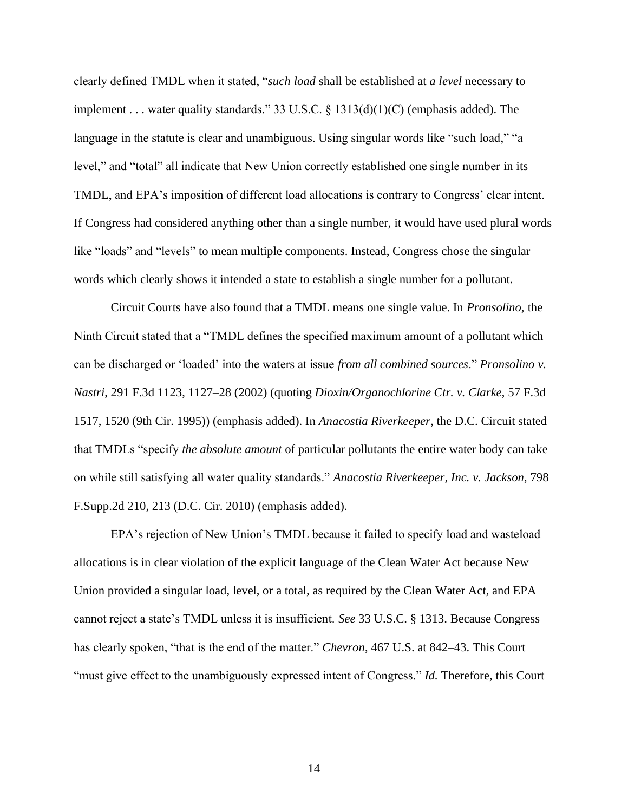clearly defined TMDL when it stated, "*such load* shall be established at *a level* necessary to implement . . . water quality standards." 33 U.S.C. § 1313(d)(1)(C) (emphasis added). The language in the statute is clear and unambiguous. Using singular words like "such load," "a level," and "total" all indicate that New Union correctly established one single number in its TMDL, and EPA's imposition of different load allocations is contrary to Congress' clear intent. If Congress had considered anything other than a single number, it would have used plural words like "loads" and "levels" to mean multiple components. Instead, Congress chose the singular words which clearly shows it intended a state to establish a single number for a pollutant.

Circuit Courts have also found that a TMDL means one single value. In *Pronsolino*, the Ninth Circuit stated that a "TMDL defines the specified maximum amount of a pollutant which can be discharged or 'loaded' into the waters at issue *from all combined sources*." *Pronsolino v. Nastri*, 291 F.3d 1123, 1127–28 (2002) (quoting *Dioxin/Organochlorine Ctr. v. Clarke*, 57 F.3d 1517, 1520 (9th Cir. 1995)) (emphasis added). In *Anacostia Riverkeeper*, the D.C. Circuit stated that TMDLs "specify *the absolute amount* of particular pollutants the entire water body can take on while still satisfying all water quality standards." *Anacostia Riverkeeper, Inc. v. Jackson*, 798 F.Supp.2d 210, 213 (D.C. Cir. 2010) (emphasis added).

EPA's rejection of New Union's TMDL because it failed to specify load and wasteload allocations is in clear violation of the explicit language of the Clean Water Act because New Union provided a singular load, level, or a total, as required by the Clean Water Act, and EPA cannot reject a state's TMDL unless it is insufficient. *See* 33 U.S.C. § 1313. Because Congress has clearly spoken, "that is the end of the matter." *Chevron*, 467 U.S. at 842–43. This Court "must give effect to the unambiguously expressed intent of Congress." *Id.* Therefore, this Court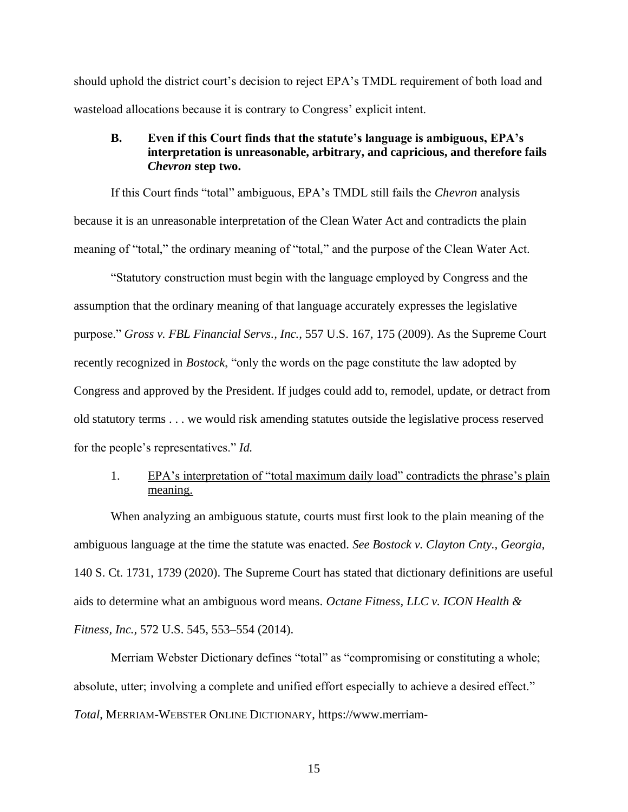should uphold the district court's decision to reject EPA's TMDL requirement of both load and wasteload allocations because it is contrary to Congress' explicit intent.

### **B. Even if this Court finds that the statute's language is ambiguous, EPA's interpretation is unreasonable, arbitrary, and capricious, and therefore fails**  *Chevron* **step two.**

If this Court finds "total" ambiguous, EPA's TMDL still fails the *Chevron* analysis because it is an unreasonable interpretation of the Clean Water Act and contradicts the plain meaning of "total," the ordinary meaning of "total," and the purpose of the Clean Water Act.

"Statutory construction must begin with the language employed by Congress and the assumption that the ordinary meaning of that language accurately expresses the legislative purpose." *Gross v. FBL Financial Servs., Inc.*, 557 U.S. 167, 175 (2009). As the Supreme Court recently recognized in *Bostock*, "only the words on the page constitute the law adopted by Congress and approved by the President. If judges could add to, remodel, update, or detract from old statutory terms . . . we would risk amending statutes outside the legislative process reserved for the people's representatives." *Id.*

# 1. EPA's interpretation of "total maximum daily load" contradicts the phrase's plain meaning.

When analyzing an ambiguous statute, courts must first look to the plain meaning of the ambiguous language at the time the statute was enacted. *See Bostock v. Clayton Cnty., Georgia*, 140 S. Ct. 1731, 1739 (2020). The Supreme Court has stated that dictionary definitions are useful aids to determine what an ambiguous word means. *Octane Fitness, LLC v. ICON Health & Fitness, Inc.,* 572 U.S. 545, 553–554 (2014).

Merriam Webster Dictionary defines "total" as "compromising or constituting a whole; absolute, utter; involving a complete and unified effort especially to achieve a desired effect." *Total*, MERRIAM-WEBSTER ONLINE DICTIONARY, https://www.merriam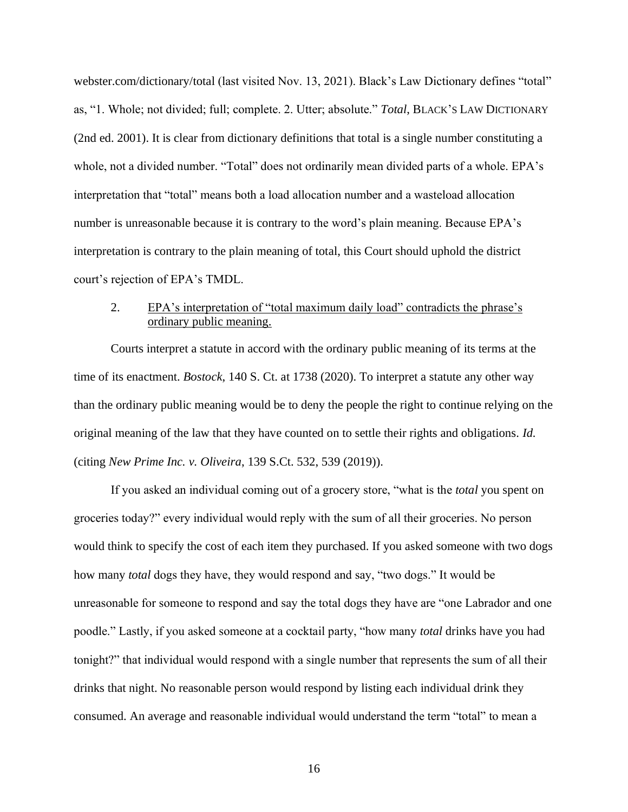webster.com/dictionary/total (last visited Nov. 13, 2021). Black's Law Dictionary defines "total" as, "1. Whole; not divided; full; complete. 2. Utter; absolute." *Total*, BLACK'S LAW DICTIONARY (2nd ed. 2001). It is clear from dictionary definitions that total is a single number constituting a whole, not a divided number. "Total" does not ordinarily mean divided parts of a whole. EPA's interpretation that "total" means both a load allocation number and a wasteload allocation number is unreasonable because it is contrary to the word's plain meaning. Because EPA's interpretation is contrary to the plain meaning of total, this Court should uphold the district court's rejection of EPA's TMDL.

# 2. EPA's interpretation of "total maximum daily load" contradicts the phrase's ordinary public meaning.

Courts interpret a statute in accord with the ordinary public meaning of its terms at the time of its enactment. *Bostock*, 140 S. Ct. at 1738 (2020). To interpret a statute any other way than the ordinary public meaning would be to deny the people the right to continue relying on the original meaning of the law that they have counted on to settle their rights and obligations. *Id.* (citing *New Prime Inc. v. Oliveira*, 139 S.Ct. 532, 539 (2019)).

If you asked an individual coming out of a grocery store, "what is the *total* you spent on groceries today?" every individual would reply with the sum of all their groceries. No person would think to specify the cost of each item they purchased. If you asked someone with two dogs how many *total* dogs they have, they would respond and say, "two dogs." It would be unreasonable for someone to respond and say the total dogs they have are "one Labrador and one poodle." Lastly, if you asked someone at a cocktail party, "how many *total* drinks have you had tonight?" that individual would respond with a single number that represents the sum of all their drinks that night. No reasonable person would respond by listing each individual drink they consumed. An average and reasonable individual would understand the term "total" to mean a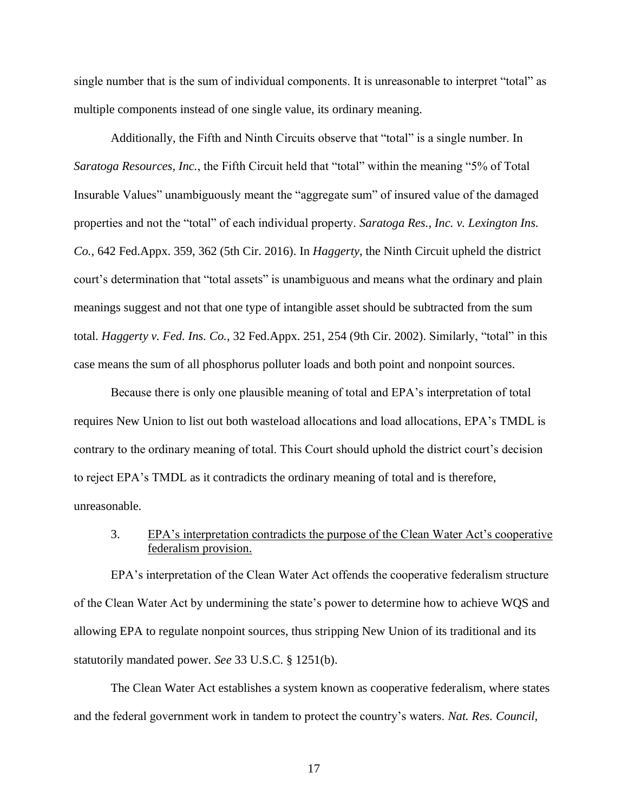single number that is the sum of individual components. It is unreasonable to interpret "total" as multiple components instead of one single value, its ordinary meaning.

Additionally, the Fifth and Ninth Circuits observe that "total" is a single number. In *Saratoga Resources, Inc.*, the Fifth Circuit held that "total" within the meaning "5% of Total Insurable Values" unambiguously meant the "aggregate sum" of insured value of the damaged properties and not the "total" of each individual property. *Saratoga Res., Inc. v. Lexington Ins. Co.*, 642 Fed.Appx. 359, 362 (5th Cir. 2016). In *Haggerty*, the Ninth Circuit upheld the district court's determination that "total assets" is unambiguous and means what the ordinary and plain meanings suggest and not that one type of intangible asset should be subtracted from the sum total. *Haggerty v. Fed. Ins. Co.*, 32 Fed.Appx. 251, 254 (9th Cir. 2002). Similarly, "total" in this case means the sum of all phosphorus polluter loads and both point and nonpoint sources.

Because there is only one plausible meaning of total and EPA's interpretation of total requires New Union to list out both wasteload allocations and load allocations, EPA's TMDL is contrary to the ordinary meaning of total. This Court should uphold the district court's decision to reject EPA's TMDL as it contradicts the ordinary meaning of total and is therefore, unreasonable.

### 3. EPA's interpretation contradicts the purpose of the Clean Water Act's cooperative federalism provision.

EPA's interpretation of the Clean Water Act offends the cooperative federalism structure of the Clean Water Act by undermining the state's power to determine how to achieve WQS and allowing EPA to regulate nonpoint sources, thus stripping New Union of its traditional and its statutorily mandated power. *See* 33 U.S.C. § 1251(b).

The Clean Water Act establishes a system known as cooperative federalism, where states and the federal government work in tandem to protect the country's waters. *Nat. Res. Council,*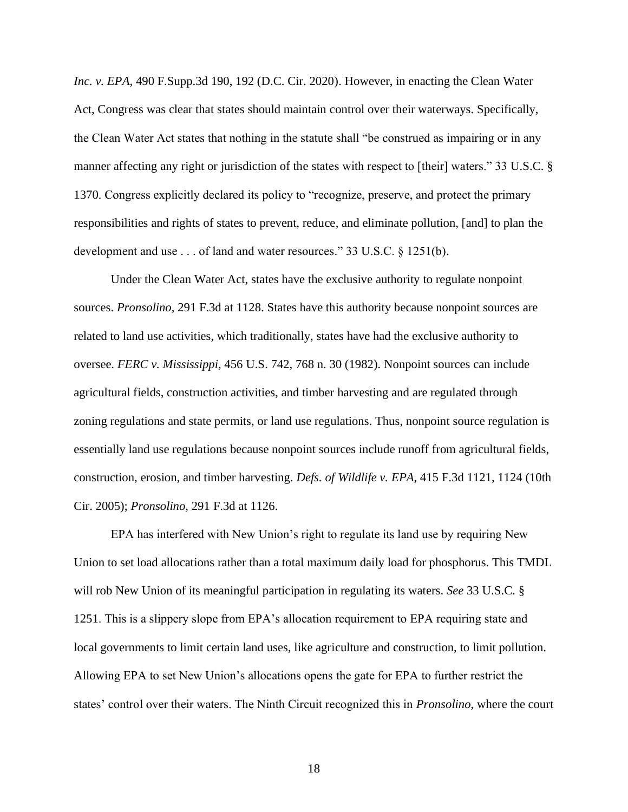*Inc. v. EPA*, 490 F.Supp.3d 190, 192 (D.C. Cir. 2020). However, in enacting the Clean Water Act, Congress was clear that states should maintain control over their waterways. Specifically, the Clean Water Act states that nothing in the statute shall "be construed as impairing or in any manner affecting any right or jurisdiction of the states with respect to [their] waters." 33 U.S.C. § 1370. Congress explicitly declared its policy to "recognize, preserve, and protect the primary responsibilities and rights of states to prevent, reduce, and eliminate pollution, [and] to plan the development and use . . . of land and water resources." 33 U.S.C. § 1251(b).

Under the Clean Water Act, states have the exclusive authority to regulate nonpoint sources. *Pronsolino*, 291 F.3d at 1128. States have this authority because nonpoint sources are related to land use activities, which traditionally, states have had the exclusive authority to oversee. *FERC v. Mississippi*, 456 U.S. 742, 768 n. 30 (1982). Nonpoint sources can include agricultural fields, construction activities, and timber harvesting and are regulated through zoning regulations and state permits, or land use regulations. Thus, nonpoint source regulation is essentially land use regulations because nonpoint sources include runoff from agricultural fields, construction, erosion, and timber harvesting. *Defs. of Wildlife v. EPA*, 415 F.3d 1121, 1124 (10th Cir. 2005); *Pronsolino*, 291 F.3d at 1126.

EPA has interfered with New Union's right to regulate its land use by requiring New Union to set load allocations rather than a total maximum daily load for phosphorus. This TMDL will rob New Union of its meaningful participation in regulating its waters. *See* 33 U.S.C. § 1251. This is a slippery slope from EPA's allocation requirement to EPA requiring state and local governments to limit certain land uses, like agriculture and construction, to limit pollution. Allowing EPA to set New Union's allocations opens the gate for EPA to further restrict the states' control over their waters. The Ninth Circuit recognized this in *Pronsolino*, where the court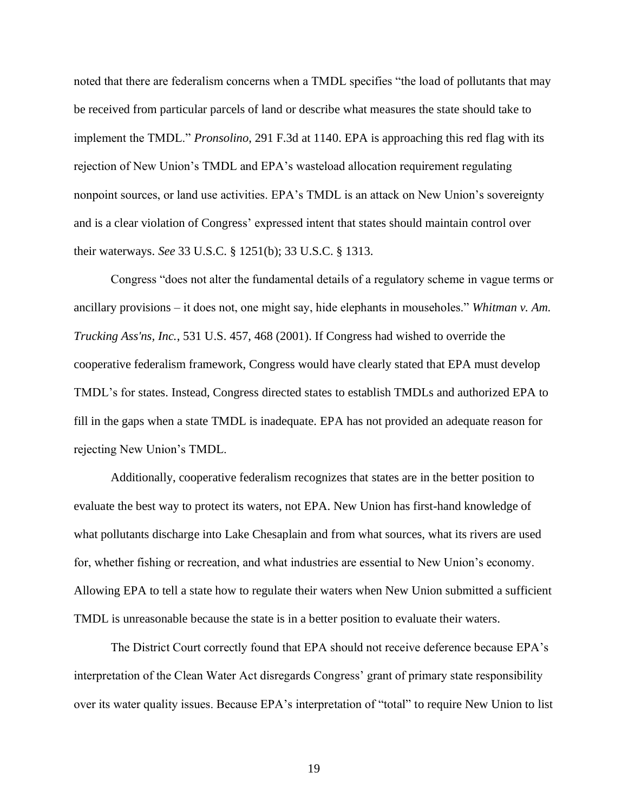noted that there are federalism concerns when a TMDL specifies "the load of pollutants that may be received from particular parcels of land or describe what measures the state should take to implement the TMDL." *Pronsolino*, 291 F.3d at 1140. EPA is approaching this red flag with its rejection of New Union's TMDL and EPA's wasteload allocation requirement regulating nonpoint sources, or land use activities. EPA's TMDL is an attack on New Union's sovereignty and is a clear violation of Congress' expressed intent that states should maintain control over their waterways. *See* 33 U.S.C. § 1251(b); 33 U.S.C. § 1313.

Congress "does not alter the fundamental details of a regulatory scheme in vague terms or ancillary provisions – it does not, one might say, hide elephants in mouseholes." *Whitman v. Am. Trucking Ass'ns, Inc.*, 531 U.S. 457, 468 (2001). If Congress had wished to override the cooperative federalism framework, Congress would have clearly stated that EPA must develop TMDL's for states. Instead, Congress directed states to establish TMDLs and authorized EPA to fill in the gaps when a state TMDL is inadequate. EPA has not provided an adequate reason for rejecting New Union's TMDL.

Additionally, cooperative federalism recognizes that states are in the better position to evaluate the best way to protect its waters, not EPA. New Union has first-hand knowledge of what pollutants discharge into Lake Chesaplain and from what sources, what its rivers are used for, whether fishing or recreation, and what industries are essential to New Union's economy. Allowing EPA to tell a state how to regulate their waters when New Union submitted a sufficient TMDL is unreasonable because the state is in a better position to evaluate their waters.

The District Court correctly found that EPA should not receive deference because EPA's interpretation of the Clean Water Act disregards Congress' grant of primary state responsibility over its water quality issues. Because EPA's interpretation of "total" to require New Union to list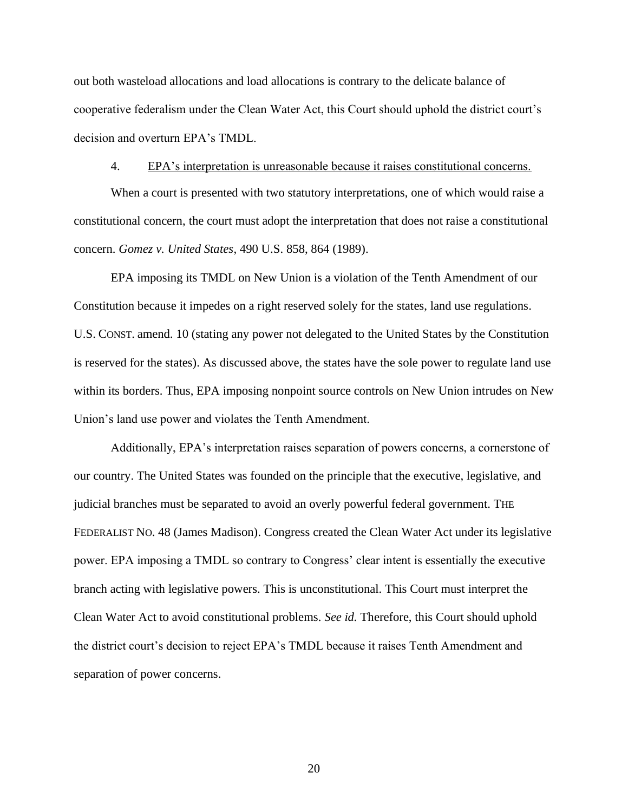out both wasteload allocations and load allocations is contrary to the delicate balance of cooperative federalism under the Clean Water Act, this Court should uphold the district court's decision and overturn EPA's TMDL.

### 4. EPA's interpretation is unreasonable because it raises constitutional concerns.

When a court is presented with two statutory interpretations, one of which would raise a constitutional concern, the court must adopt the interpretation that does not raise a constitutional concern. *Gomez v. United States*, 490 U.S. 858, 864 (1989).

EPA imposing its TMDL on New Union is a violation of the Tenth Amendment of our Constitution because it impedes on a right reserved solely for the states, land use regulations. U.S. CONST. amend. 10 (stating any power not delegated to the United States by the Constitution is reserved for the states). As discussed above, the states have the sole power to regulate land use within its borders. Thus, EPA imposing nonpoint source controls on New Union intrudes on New Union's land use power and violates the Tenth Amendment.

Additionally, EPA's interpretation raises separation of powers concerns, a cornerstone of our country. The United States was founded on the principle that the executive, legislative, and judicial branches must be separated to avoid an overly powerful federal government. THE FEDERALIST NO. 48 (James Madison). Congress created the Clean Water Act under its legislative power. EPA imposing a TMDL so contrary to Congress' clear intent is essentially the executive branch acting with legislative powers. This is unconstitutional. This Court must interpret the Clean Water Act to avoid constitutional problems. *See id.* Therefore, this Court should uphold the district court's decision to reject EPA's TMDL because it raises Tenth Amendment and separation of power concerns.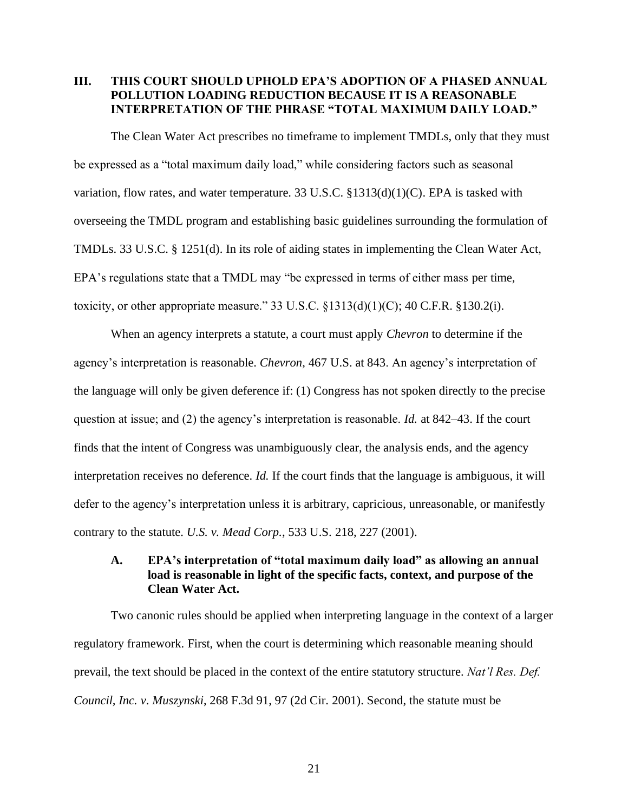# **III. THIS COURT SHOULD UPHOLD EPA'S ADOPTION OF A PHASED ANNUAL POLLUTION LOADING REDUCTION BECAUSE IT IS A REASONABLE INTERPRETATION OF THE PHRASE "TOTAL MAXIMUM DAILY LOAD."**

The Clean Water Act prescribes no timeframe to implement TMDLs, only that they must be expressed as a "total maximum daily load," while considering factors such as seasonal variation, flow rates, and water temperature. 33 U.S.C.  $$1313(d)(1)(C)$ . EPA is tasked with overseeing the TMDL program and establishing basic guidelines surrounding the formulation of TMDLs. 33 U.S.C. § 1251(d). In its role of aiding states in implementing the Clean Water Act, EPA's regulations state that a TMDL may "be expressed in terms of either mass per time, toxicity, or other appropriate measure." 33 U.S.C.  $\S 1313(d)(1)(C)$ ; 40 C.F.R.  $\S 130.2(i)$ .

When an agency interprets a statute, a court must apply *Chevron* to determine if the agency's interpretation is reasonable. *Chevron*, 467 U.S. at 843. An agency's interpretation of the language will only be given deference if: (1) Congress has not spoken directly to the precise question at issue; and (2) the agency's interpretation is reasonable. *Id.* at 842–43. If the court finds that the intent of Congress was unambiguously clear, the analysis ends, and the agency interpretation receives no deference. *Id.* If the court finds that the language is ambiguous, it will defer to the agency's interpretation unless it is arbitrary, capricious, unreasonable, or manifestly contrary to the statute. *U.S. v. Mead Corp.*, 533 U.S. 218, 227 (2001).

# **A. EPA's interpretation of "total maximum daily load" as allowing an annual load is reasonable in light of the specific facts, context, and purpose of the Clean Water Act.**

Two canonic rules should be applied when interpreting language in the context of a larger regulatory framework. First, when the court is determining which reasonable meaning should prevail, the text should be placed in the context of the entire statutory structure. *Nat'l Res. Def. Council, Inc. v*. *Muszynski*, 268 F.3d 91, 97 (2d Cir. 2001). Second, the statute must be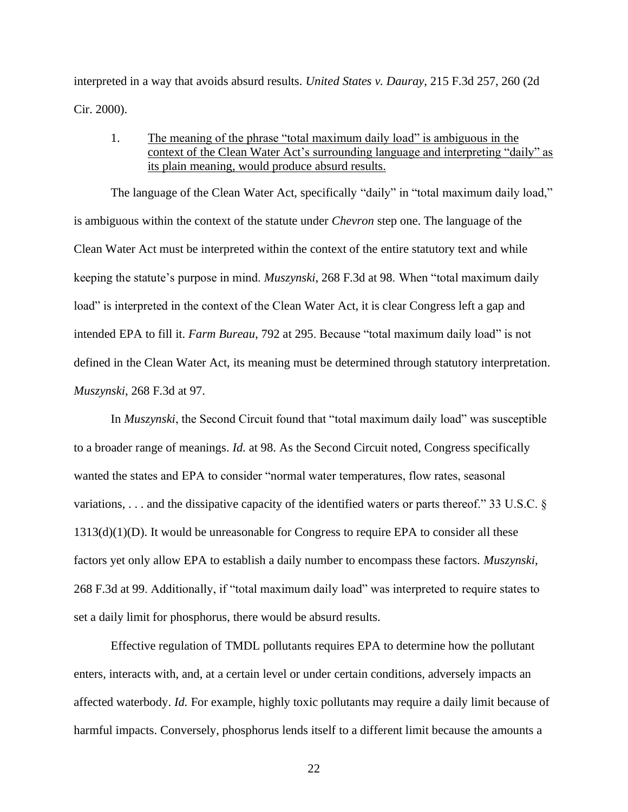interpreted in a way that avoids absurd results. *United States v. Dauray*, 215 F.3d 257, 260 (2d Cir. 2000).

1. The meaning of the phrase "total maximum daily load" is ambiguous in the context of the Clean Water Act's surrounding language and interpreting "daily" as its plain meaning, would produce absurd results.

The language of the Clean Water Act, specifically "daily" in "total maximum daily load," is ambiguous within the context of the statute under *Chevron* step one. The language of the Clean Water Act must be interpreted within the context of the entire statutory text and while keeping the statute's purpose in mind. *Muszynski*, 268 F.3d at 98. When "total maximum daily load" is interpreted in the context of the Clean Water Act, it is clear Congress left a gap and intended EPA to fill it. *Farm Bureau*, 792 at 295. Because "total maximum daily load" is not defined in the Clean Water Act, its meaning must be determined through statutory interpretation. *Muszynski*, 268 F.3d at 97.

In *Muszynski*, the Second Circuit found that "total maximum daily load" was susceptible to a broader range of meanings. *Id.* at 98. As the Second Circuit noted, Congress specifically wanted the states and EPA to consider "normal water temperatures, flow rates, seasonal variations, . . . and the dissipative capacity of the identified waters or parts thereof." 33 U.S.C. §  $1313(d)(1)(D)$ . It would be unreasonable for Congress to require EPA to consider all these factors yet only allow EPA to establish a daily number to encompass these factors. *Muszynski*, 268 F.3d at 99. Additionally, if "total maximum daily load" was interpreted to require states to set a daily limit for phosphorus, there would be absurd results.

Effective regulation of TMDL pollutants requires EPA to determine how the pollutant enters, interacts with, and, at a certain level or under certain conditions, adversely impacts an affected waterbody. *Id.* For example, highly toxic pollutants may require a daily limit because of harmful impacts. Conversely, phosphorus lends itself to a different limit because the amounts a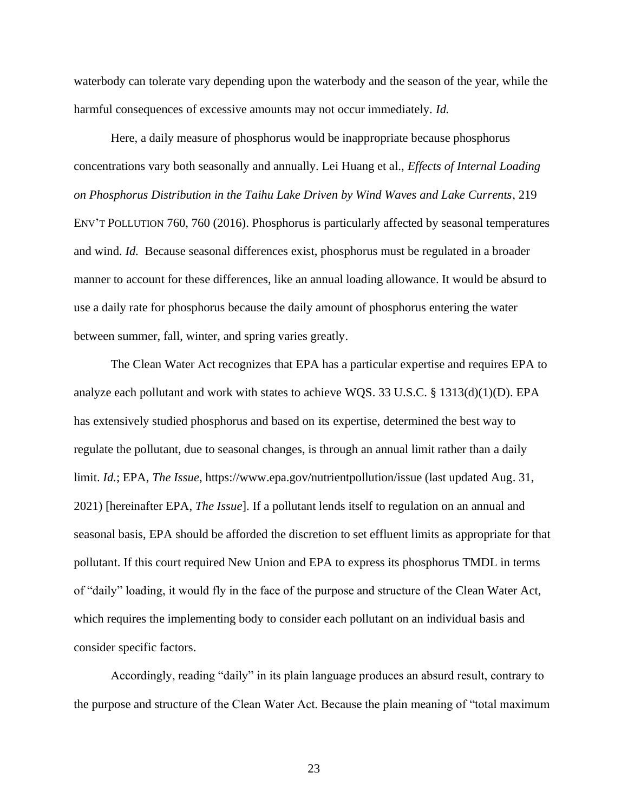waterbody can tolerate vary depending upon the waterbody and the season of the year, while the harmful consequences of excessive amounts may not occur immediately. *Id.*

Here, a daily measure of phosphorus would be inappropriate because phosphorus concentrations vary both seasonally and annually. Lei Huang et al., *Effects of Internal Loading on Phosphorus Distribution in the Taihu Lake Driven by Wind Waves and Lake Currents*, 219 ENV'T POLLUTION 760, 760 (2016). Phosphorus is particularly affected by seasonal temperatures and wind. *Id.* Because seasonal differences exist, phosphorus must be regulated in a broader manner to account for these differences, like an annual loading allowance. It would be absurd to use a daily rate for phosphorus because the daily amount of phosphorus entering the water between summer, fall, winter, and spring varies greatly.

The Clean Water Act recognizes that EPA has a particular expertise and requires EPA to analyze each pollutant and work with states to achieve WQS. 33 U.S.C. § 1313(d)(1)(D). EPA has extensively studied phosphorus and based on its expertise, determined the best way to regulate the pollutant, due to seasonal changes, is through an annual limit rather than a daily limit. *Id.*; EPA, *The Issue*, https://www.epa.gov/nutrientpollution/issue (last updated Aug. 31, 2021) [hereinafter EPA, *The Issue*]. If a pollutant lends itself to regulation on an annual and seasonal basis, EPA should be afforded the discretion to set effluent limits as appropriate for that pollutant. If this court required New Union and EPA to express its phosphorus TMDL in terms of "daily" loading, it would fly in the face of the purpose and structure of the Clean Water Act, which requires the implementing body to consider each pollutant on an individual basis and consider specific factors.

Accordingly, reading "daily" in its plain language produces an absurd result, contrary to the purpose and structure of the Clean Water Act. Because the plain meaning of "total maximum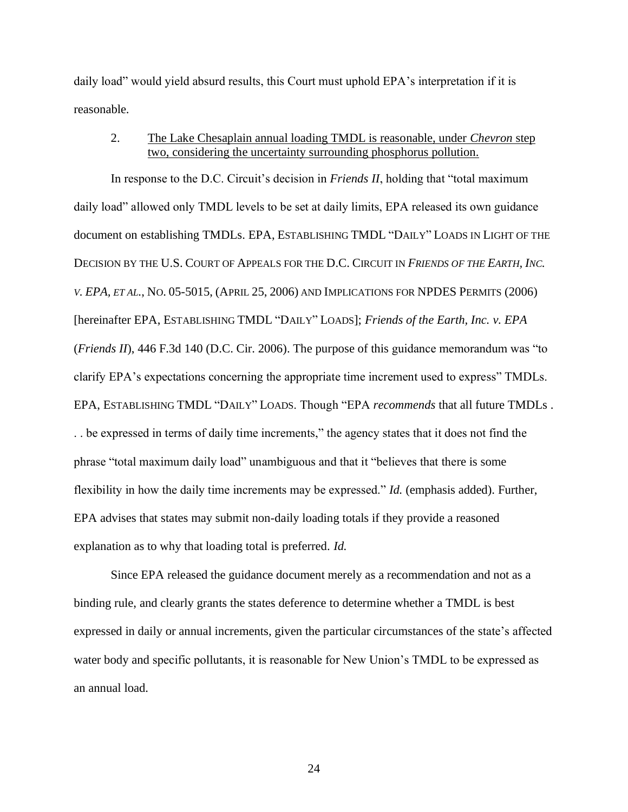daily load" would yield absurd results, this Court must uphold EPA's interpretation if it is reasonable.

## 2. The Lake Chesaplain annual loading TMDL is reasonable, under *Chevron* step two, considering the uncertainty surrounding phosphorus pollution.

In response to the D.C. Circuit's decision in *Friends II*, holding that "total maximum daily load" allowed only TMDL levels to be set at daily limits, EPA released its own guidance document on establishing TMDLs. EPA, ESTABLISHING TMDL "DAILY" LOADS IN LIGHT OF THE DECISION BY THE U.S. COURT OF APPEALS FOR THE D.C. CIRCUIT IN *FRIENDS OF THE EARTH, INC. V. EPA, ET AL.*, NO. 05-5015, (APRIL 25, 2006) AND IMPLICATIONS FOR NPDES PERMITS (2006) [hereinafter EPA, ESTABLISHING TMDL "DAILY" LOADS]; *Friends of the Earth, Inc. v. EPA*  (*Friends II*), 446 F.3d 140 (D.C. Cir. 2006). The purpose of this guidance memorandum was "to clarify EPA's expectations concerning the appropriate time increment used to express" TMDLs. EPA, ESTABLISHING TMDL "DAILY" LOADS. Though "EPA *recommends* that all future TMDLs . . . be expressed in terms of daily time increments," the agency states that it does not find the phrase "total maximum daily load" unambiguous and that it "believes that there is some flexibility in how the daily time increments may be expressed." *Id.* (emphasis added). Further, EPA advises that states may submit non-daily loading totals if they provide a reasoned explanation as to why that loading total is preferred. *Id.*

Since EPA released the guidance document merely as a recommendation and not as a binding rule, and clearly grants the states deference to determine whether a TMDL is best expressed in daily or annual increments, given the particular circumstances of the state's affected water body and specific pollutants, it is reasonable for New Union's TMDL to be expressed as an annual load.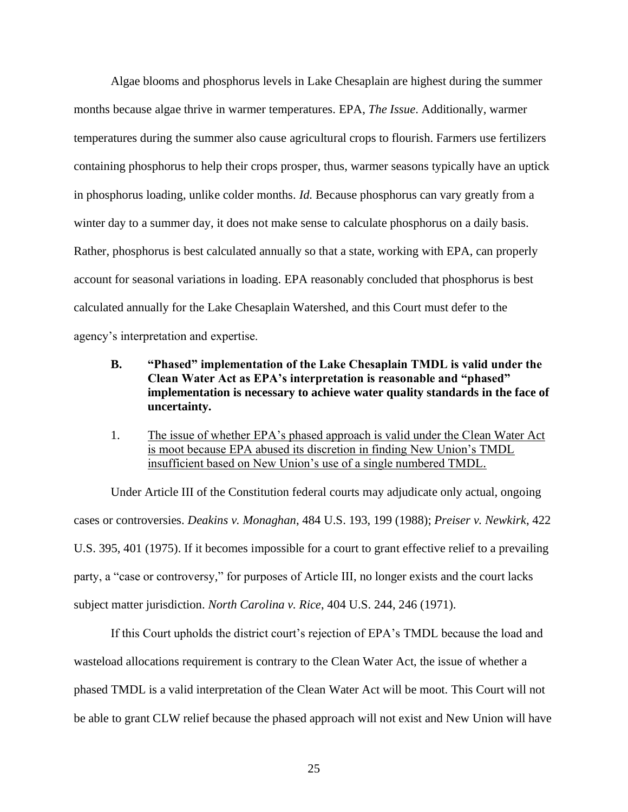Algae blooms and phosphorus levels in Lake Chesaplain are highest during the summer months because algae thrive in warmer temperatures. EPA, *The Issue*. Additionally, warmer temperatures during the summer also cause agricultural crops to flourish. Farmers use fertilizers containing phosphorus to help their crops prosper, thus, warmer seasons typically have an uptick in phosphorus loading, unlike colder months. *Id.* Because phosphorus can vary greatly from a winter day to a summer day, it does not make sense to calculate phosphorus on a daily basis. Rather, phosphorus is best calculated annually so that a state, working with EPA, can properly account for seasonal variations in loading. EPA reasonably concluded that phosphorus is best calculated annually for the Lake Chesaplain Watershed, and this Court must defer to the agency's interpretation and expertise.

- **B. "Phased" implementation of the Lake Chesaplain TMDL is valid under the Clean Water Act as EPA's interpretation is reasonable and "phased" implementation is necessary to achieve water quality standards in the face of uncertainty.**
- 1. The issue of whether EPA's phased approach is valid under the Clean Water Act is moot because EPA abused its discretion in finding New Union's TMDL insufficient based on New Union's use of a single numbered TMDL.

Under Article III of the Constitution federal courts may adjudicate only actual, ongoing cases or controversies. *Deakins v. Monaghan*, 484 U.S. 193, 199 (1988); *Preiser v. Newkirk*, 422 U.S. 395, 401 (1975). If it becomes impossible for a court to grant effective relief to a prevailing party, a "case or controversy," for purposes of Article III, no longer exists and the court lacks subject matter jurisdiction. *North Carolina v. Rice*, 404 U.S. 244, 246 (1971).

If this Court upholds the district court's rejection of EPA's TMDL because the load and wasteload allocations requirement is contrary to the Clean Water Act, the issue of whether a phased TMDL is a valid interpretation of the Clean Water Act will be moot. This Court will not be able to grant CLW relief because the phased approach will not exist and New Union will have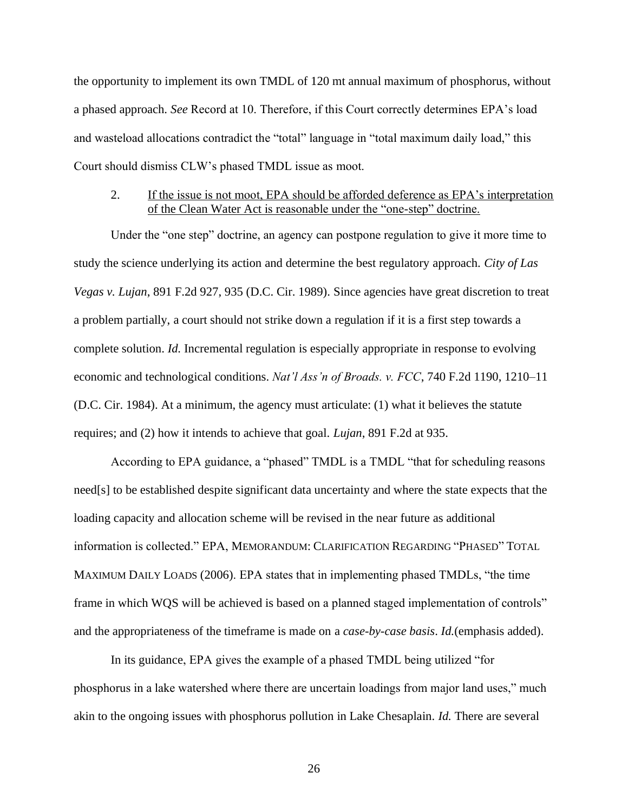the opportunity to implement its own TMDL of 120 mt annual maximum of phosphorus, without a phased approach. *See* Record at 10. Therefore, if this Court correctly determines EPA's load and wasteload allocations contradict the "total" language in "total maximum daily load," this Court should dismiss CLW's phased TMDL issue as moot.

# 2. If the issue is not moot, EPA should be afforded deference as EPA's interpretation of the Clean Water Act is reasonable under the "one-step" doctrine.

Under the "one step" doctrine, an agency can postpone regulation to give it more time to study the science underlying its action and determine the best regulatory approach. *City of Las Vegas v. Lujan*, 891 F.2d 927, 935 (D.C. Cir. 1989). Since agencies have great discretion to treat a problem partially, a court should not strike down a regulation if it is a first step towards a complete solution. *Id.* Incremental regulation is especially appropriate in response to evolving economic and technological conditions. *Nat'l Ass'n of Broads. v. FCC*, 740 F.2d 1190, 1210–11 (D.C. Cir. 1984). At a minimum, the agency must articulate: (1) what it believes the statute requires; and (2) how it intends to achieve that goal. *Lujan*, 891 F.2d at 935.

According to EPA guidance, a "phased" TMDL is a TMDL "that for scheduling reasons need[s] to be established despite significant data uncertainty and where the state expects that the loading capacity and allocation scheme will be revised in the near future as additional information is collected." EPA, MEMORANDUM: CLARIFICATION REGARDING "PHASED" TOTAL MAXIMUM DAILY LOADS (2006). EPA states that in implementing phased TMDLs, "the time frame in which WQS will be achieved is based on a planned staged implementation of controls" and the appropriateness of the timeframe is made on a *case-by-case basis*. *Id.*(emphasis added).

In its guidance, EPA gives the example of a phased TMDL being utilized "for phosphorus in a lake watershed where there are uncertain loadings from major land uses," much akin to the ongoing issues with phosphorus pollution in Lake Chesaplain. *Id.* There are several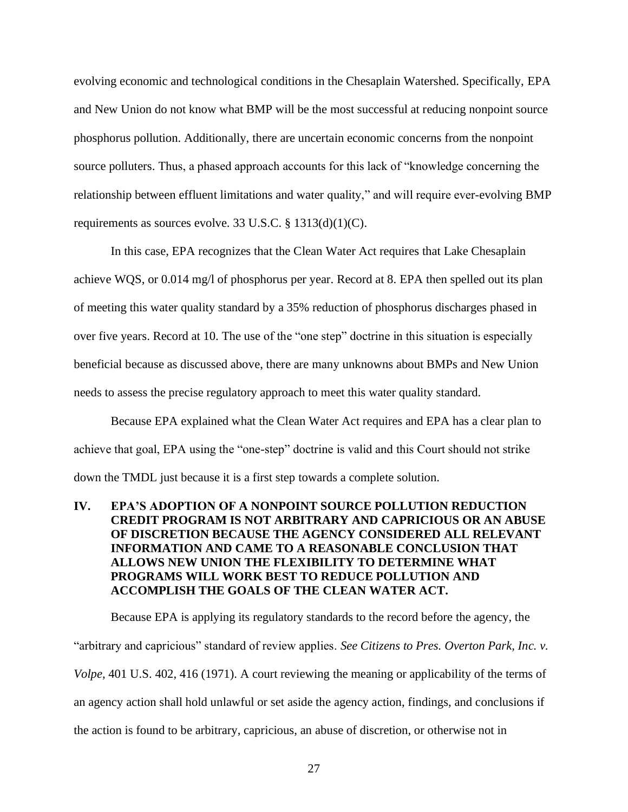evolving economic and technological conditions in the Chesaplain Watershed. Specifically, EPA and New Union do not know what BMP will be the most successful at reducing nonpoint source phosphorus pollution. Additionally, there are uncertain economic concerns from the nonpoint source polluters. Thus, a phased approach accounts for this lack of "knowledge concerning the relationship between effluent limitations and water quality," and will require ever-evolving BMP requirements as sources evolve. 33 U.S.C. § 1313(d)(1)(C).

In this case, EPA recognizes that the Clean Water Act requires that Lake Chesaplain achieve WQS, or 0.014 mg/l of phosphorus per year. Record at 8. EPA then spelled out its plan of meeting this water quality standard by a 35% reduction of phosphorus discharges phased in over five years. Record at 10. The use of the "one step" doctrine in this situation is especially beneficial because as discussed above, there are many unknowns about BMPs and New Union needs to assess the precise regulatory approach to meet this water quality standard.

Because EPA explained what the Clean Water Act requires and EPA has a clear plan to achieve that goal, EPA using the "one-step" doctrine is valid and this Court should not strike down the TMDL just because it is a first step towards a complete solution.

# **IV. EPA'S ADOPTION OF A NONPOINT SOURCE POLLUTION REDUCTION CREDIT PROGRAM IS NOT ARBITRARY AND CAPRICIOUS OR AN ABUSE OF DISCRETION BECAUSE THE AGENCY CONSIDERED ALL RELEVANT INFORMATION AND CAME TO A REASONABLE CONCLUSION THAT ALLOWS NEW UNION THE FLEXIBILITY TO DETERMINE WHAT PROGRAMS WILL WORK BEST TO REDUCE POLLUTION AND ACCOMPLISH THE GOALS OF THE CLEAN WATER ACT.**

Because EPA is applying its regulatory standards to the record before the agency, the "arbitrary and capricious" standard of review applies. *See Citizens to Pres. Overton Park, Inc. v. Volpe*, 401 U.S. 402, 416 (1971). A court reviewing the meaning or applicability of the terms of an agency action shall hold unlawful or set aside the agency action, findings, and conclusions if the action is found to be arbitrary, capricious, an abuse of discretion, or otherwise not in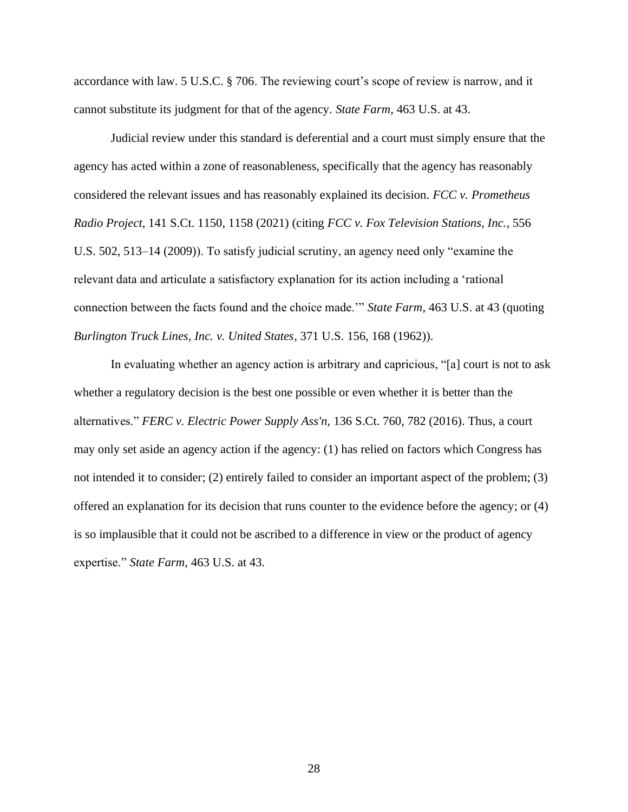accordance with law. 5 U.S.C. § 706. The reviewing court's scope of review is narrow, and it cannot substitute its judgment for that of the agency. *State Farm*, 463 U.S. at 43.

Judicial review under this standard is deferential and a court must simply ensure that the agency has acted within a zone of reasonableness, specifically that the agency has reasonably considered the relevant issues and has reasonably explained its decision. *FCC v. Prometheus Radio Project*, 141 S.Ct. 1150, 1158 (2021) (citing *FCC v. Fox Television Stations, Inc.*, 556 U.S. 502, 513–14 (2009)). To satisfy judicial scrutiny, an agency need only "examine the relevant data and articulate a satisfactory explanation for its action including a 'rational connection between the facts found and the choice made.'" *State Farm*, 463 U.S. at 43 (quoting *Burlington Truck Lines, Inc. v. United States*, 371 U.S. 156, 168 (1962)).

In evaluating whether an agency action is arbitrary and capricious, "[a] court is not to ask whether a regulatory decision is the best one possible or even whether it is better than the alternatives." *FERC v. Electric Power Supply Ass'n,* 136 S.Ct. 760, 782 (2016). Thus, a court may only set aside an agency action if the agency: (1) has relied on factors which Congress has not intended it to consider; (2) entirely failed to consider an important aspect of the problem; (3) offered an explanation for its decision that runs counter to the evidence before the agency; or (4) is so implausible that it could not be ascribed to a difference in view or the product of agency expertise." *State Farm,* 463 U.S. at 43.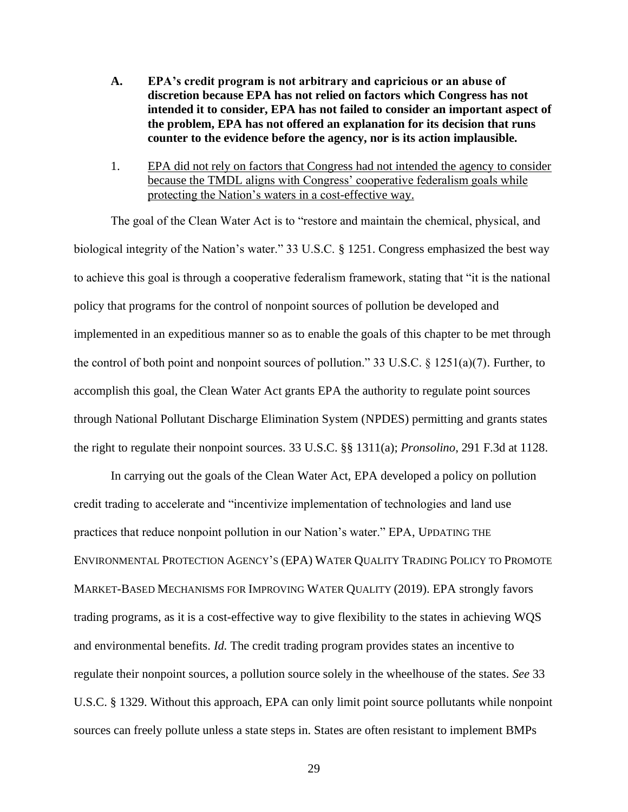- **A. EPA's credit program is not arbitrary and capricious or an abuse of discretion because EPA has not relied on factors which Congress has not intended it to consider, EPA has not failed to consider an important aspect of the problem, EPA has not offered an explanation for its decision that runs counter to the evidence before the agency, nor is its action implausible.**
- 1. EPA did not rely on factors that Congress had not intended the agency to consider because the TMDL aligns with Congress' cooperative federalism goals while protecting the Nation's waters in a cost-effective way.

The goal of the Clean Water Act is to "restore and maintain the chemical, physical, and biological integrity of the Nation's water." 33 U.S.C. § 1251. Congress emphasized the best way to achieve this goal is through a cooperative federalism framework, stating that "it is the national policy that programs for the control of nonpoint sources of pollution be developed and implemented in an expeditious manner so as to enable the goals of this chapter to be met through the control of both point and nonpoint sources of pollution." 33 U.S.C.  $\S$  1251(a)(7). Further, to accomplish this goal, the Clean Water Act grants EPA the authority to regulate point sources through National Pollutant Discharge Elimination System (NPDES) permitting and grants states the right to regulate their nonpoint sources. 33 U.S.C. §§ 1311(a); *Pronsolino*, 291 F.3d at 1128.

In carrying out the goals of the Clean Water Act, EPA developed a policy on pollution credit trading to accelerate and "incentivize implementation of technologies and land use practices that reduce nonpoint pollution in our Nation's water." EPA, UPDATING THE ENVIRONMENTAL PROTECTION AGENCY'S (EPA) WATER QUALITY TRADING POLICY TO PROMOTE MARKET-BASED MECHANISMS FOR IMPROVING WATER QUALITY (2019). EPA strongly favors trading programs, as it is a cost-effective way to give flexibility to the states in achieving WQS and environmental benefits. *Id.* The credit trading program provides states an incentive to regulate their nonpoint sources, a pollution source solely in the wheelhouse of the states. *See* 33 U.S.C. § 1329. Without this approach, EPA can only limit point source pollutants while nonpoint sources can freely pollute unless a state steps in. States are often resistant to implement BMPs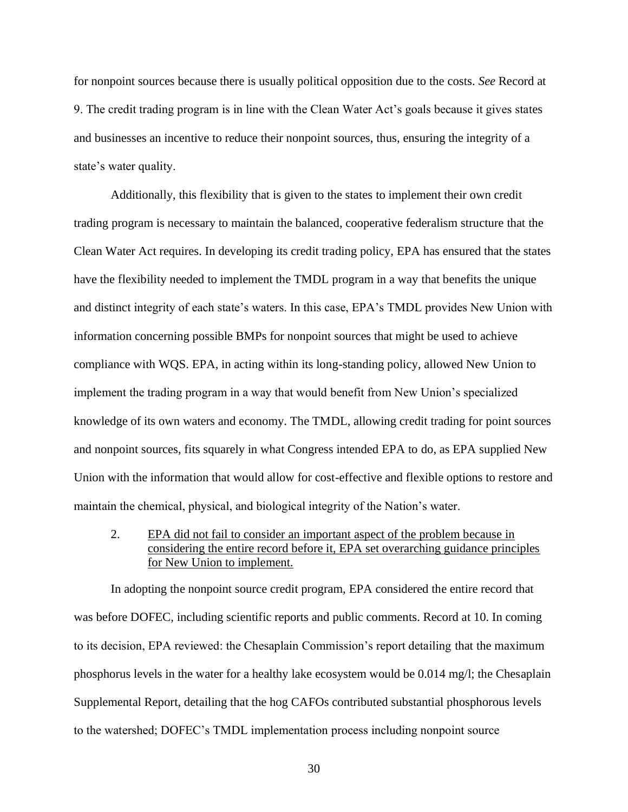for nonpoint sources because there is usually political opposition due to the costs. *See* Record at 9. The credit trading program is in line with the Clean Water Act's goals because it gives states and businesses an incentive to reduce their nonpoint sources, thus, ensuring the integrity of a state's water quality.

Additionally, this flexibility that is given to the states to implement their own credit trading program is necessary to maintain the balanced, cooperative federalism structure that the Clean Water Act requires. In developing its credit trading policy, EPA has ensured that the states have the flexibility needed to implement the TMDL program in a way that benefits the unique and distinct integrity of each state's waters. In this case, EPA's TMDL provides New Union with information concerning possible BMPs for nonpoint sources that might be used to achieve compliance with WQS. EPA, in acting within its long-standing policy, allowed New Union to implement the trading program in a way that would benefit from New Union's specialized knowledge of its own waters and economy. The TMDL, allowing credit trading for point sources and nonpoint sources, fits squarely in what Congress intended EPA to do, as EPA supplied New Union with the information that would allow for cost-effective and flexible options to restore and maintain the chemical, physical, and biological integrity of the Nation's water.

# 2. EPA did not fail to consider an important aspect of the problem because in considering the entire record before it, EPA set overarching guidance principles for New Union to implement.

In adopting the nonpoint source credit program, EPA considered the entire record that was before DOFEC, including scientific reports and public comments. Record at 10. In coming to its decision, EPA reviewed: the Chesaplain Commission's report detailing that the maximum phosphorus levels in the water for a healthy lake ecosystem would be 0.014 mg/l; the Chesaplain Supplemental Report, detailing that the hog CAFOs contributed substantial phosphorous levels to the watershed; DOFEC's TMDL implementation process including nonpoint source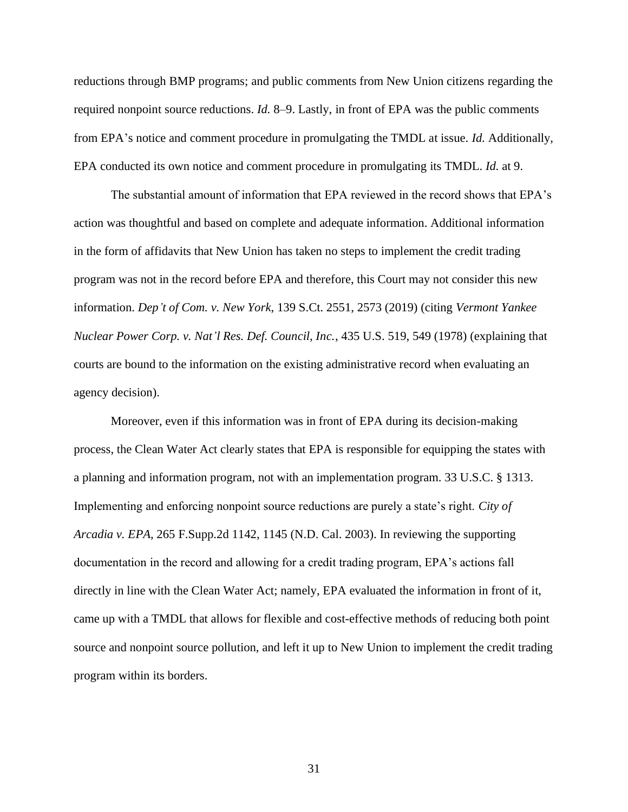reductions through BMP programs; and public comments from New Union citizens regarding the required nonpoint source reductions. *Id.* 8–9. Lastly, in front of EPA was the public comments from EPA's notice and comment procedure in promulgating the TMDL at issue. *Id.* Additionally, EPA conducted its own notice and comment procedure in promulgating its TMDL. *Id.* at 9.

The substantial amount of information that EPA reviewed in the record shows that EPA's action was thoughtful and based on complete and adequate information. Additional information in the form of affidavits that New Union has taken no steps to implement the credit trading program was not in the record before EPA and therefore, this Court may not consider this new information. *Dep't of Com. v. New York*, 139 S.Ct. 2551, 2573 (2019) (citing *Vermont Yankee Nuclear Power Corp. v. Nat'l Res. Def. Council, Inc.*, 435 U.S. 519, 549 (1978) (explaining that courts are bound to the information on the existing administrative record when evaluating an agency decision).

Moreover, even if this information was in front of EPA during its decision-making process, the Clean Water Act clearly states that EPA is responsible for equipping the states with a planning and information program, not with an implementation program. 33 U.S.C. § 1313. Implementing and enforcing nonpoint source reductions are purely a state's right. *City of Arcadia v. EPA*, 265 F.Supp.2d 1142, 1145 (N.D. Cal. 2003). In reviewing the supporting documentation in the record and allowing for a credit trading program, EPA's actions fall directly in line with the Clean Water Act; namely, EPA evaluated the information in front of it, came up with a TMDL that allows for flexible and cost-effective methods of reducing both point source and nonpoint source pollution, and left it up to New Union to implement the credit trading program within its borders.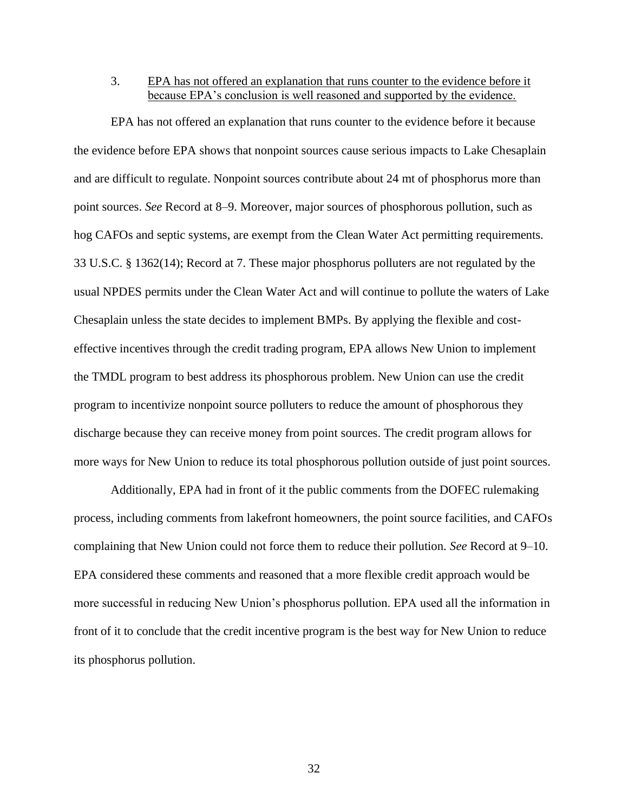3. EPA has not offered an explanation that runs counter to the evidence before it because EPA's conclusion is well reasoned and supported by the evidence.

EPA has not offered an explanation that runs counter to the evidence before it because the evidence before EPA shows that nonpoint sources cause serious impacts to Lake Chesaplain and are difficult to regulate. Nonpoint sources contribute about 24 mt of phosphorus more than point sources. *See* Record at 8–9. Moreover, major sources of phosphorous pollution, such as hog CAFOs and septic systems, are exempt from the Clean Water Act permitting requirements. 33 U.S.C. § 1362(14); Record at 7. These major phosphorus polluters are not regulated by the usual NPDES permits under the Clean Water Act and will continue to pollute the waters of Lake Chesaplain unless the state decides to implement BMPs. By applying the flexible and costeffective incentives through the credit trading program, EPA allows New Union to implement the TMDL program to best address its phosphorous problem. New Union can use the credit program to incentivize nonpoint source polluters to reduce the amount of phosphorous they discharge because they can receive money from point sources. The credit program allows for more ways for New Union to reduce its total phosphorous pollution outside of just point sources.

Additionally, EPA had in front of it the public comments from the DOFEC rulemaking process, including comments from lakefront homeowners, the point source facilities, and CAFOs complaining that New Union could not force them to reduce their pollution. *See* Record at 9–10. EPA considered these comments and reasoned that a more flexible credit approach would be more successful in reducing New Union's phosphorus pollution. EPA used all the information in front of it to conclude that the credit incentive program is the best way for New Union to reduce its phosphorus pollution.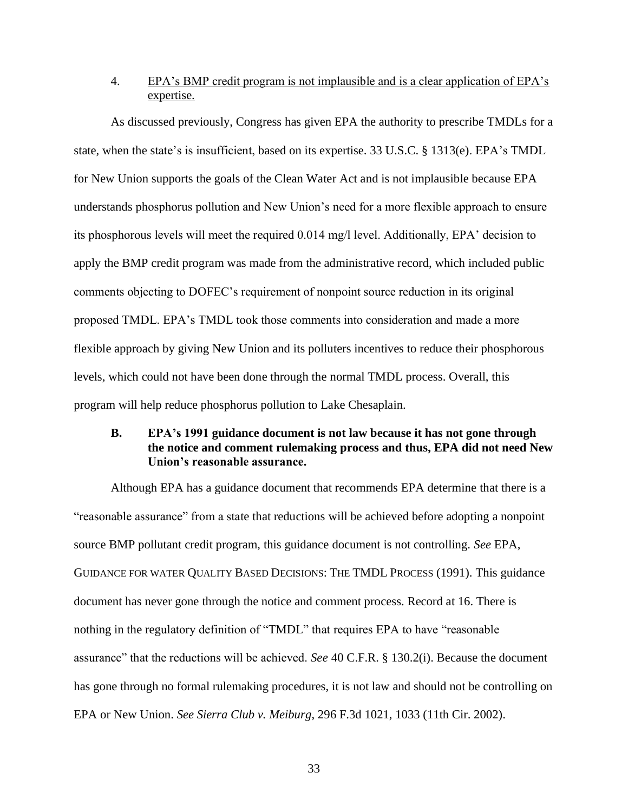## 4. EPA's BMP credit program is not implausible and is a clear application of EPA's expertise.

As discussed previously, Congress has given EPA the authority to prescribe TMDLs for a state, when the state's is insufficient, based on its expertise. 33 U.S.C. § 1313(e). EPA's TMDL for New Union supports the goals of the Clean Water Act and is not implausible because EPA understands phosphorus pollution and New Union's need for a more flexible approach to ensure its phosphorous levels will meet the required 0.014 mg/l level. Additionally, EPA' decision to apply the BMP credit program was made from the administrative record, which included public comments objecting to DOFEC's requirement of nonpoint source reduction in its original proposed TMDL. EPA's TMDL took those comments into consideration and made a more flexible approach by giving New Union and its polluters incentives to reduce their phosphorous levels, which could not have been done through the normal TMDL process. Overall, this program will help reduce phosphorus pollution to Lake Chesaplain.

# **B. EPA's 1991 guidance document is not law because it has not gone through the notice and comment rulemaking process and thus, EPA did not need New Union's reasonable assurance.**

Although EPA has a guidance document that recommends EPA determine that there is a "reasonable assurance" from a state that reductions will be achieved before adopting a nonpoint source BMP pollutant credit program, this guidance document is not controlling. *See* EPA, GUIDANCE FOR WATER QUALITY BASED DECISIONS: THE TMDL PROCESS (1991). This guidance document has never gone through the notice and comment process. Record at 16. There is nothing in the regulatory definition of "TMDL" that requires EPA to have "reasonable assurance" that the reductions will be achieved. *See* 40 C.F.R. § 130.2(i). Because the document has gone through no formal rulemaking procedures, it is not law and should not be controlling on EPA or New Union. *See Sierra Club v. Meiburg*, 296 F.3d 1021, 1033 (11th Cir. 2002).